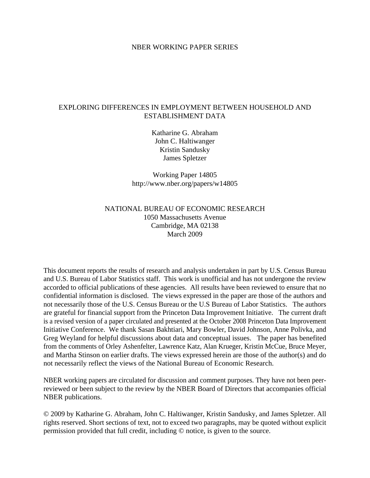#### NBER WORKING PAPER SERIES

# EXPLORING DIFFERENCES IN EMPLOYMENT BETWEEN HOUSEHOLD AND ESTABLISHMENT DATA

Katharine G. Abraham John C. Haltiwanger Kristin Sandusky James Spletzer

Working Paper 14805 http://www.nber.org/papers/w14805

# NATIONAL BUREAU OF ECONOMIC RESEARCH 1050 Massachusetts Avenue Cambridge, MA 02138 March 2009

This document reports the results of research and analysis undertaken in part by U.S. Census Bureau and U.S. Bureau of Labor Statistics staff. This work is unofficial and has not undergone the review accorded to official publications of these agencies. All results have been reviewed to ensure that no confidential information is disclosed. The views expressed in the paper are those of the authors and not necessarily those of the U.S. Census Bureau or the U.S Bureau of Labor Statistics. The authors are grateful for financial support from the Princeton Data Improvement Initiative. The current draft is a revised version of a paper circulated and presented at the October 2008 Princeton Data Improvement Initiative Conference. We thank Sasan Bakhtiari, Mary Bowler, David Johnson, Anne Polivka, and Greg Weyland for helpful discussions about data and conceptual issues. The paper has benefited from the comments of Orley Ashenfelter, Lawrence Katz, Alan Krueger, Kristin McCue, Bruce Meyer, and Martha Stinson on earlier drafts. The views expressed herein are those of the author(s) and do not necessarily reflect the views of the National Bureau of Economic Research.

NBER working papers are circulated for discussion and comment purposes. They have not been peerreviewed or been subject to the review by the NBER Board of Directors that accompanies official NBER publications.

© 2009 by Katharine G. Abraham, John C. Haltiwanger, Kristin Sandusky, and James Spletzer. All rights reserved. Short sections of text, not to exceed two paragraphs, may be quoted without explicit permission provided that full credit, including © notice, is given to the source.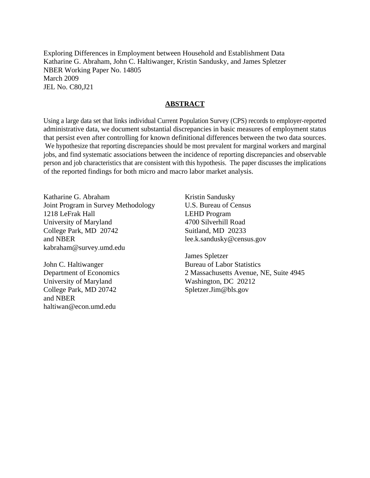Exploring Differences in Employment between Household and Establishment Data Katharine G. Abraham, John C. Haltiwanger, Kristin Sandusky, and James Spletzer NBER Working Paper No. 14805 March 2009 JEL No. C80,J21

### **ABSTRACT**

Using a large data set that links individual Current Population Survey (CPS) records to employer-reported administrative data, we document substantial discrepancies in basic measures of employment status that persist even after controlling for known definitional differences between the two data sources. We hypothesize that reporting discrepancies should be most prevalent for marginal workers and marginal jobs, and find systematic associations between the incidence of reporting discrepancies and observable person and job characteristics that are consistent with this hypothesis. The paper discusses the implications of the reported findings for both micro and macro labor market analysis.

Katharine G. Abraham Joint Program in Survey Methodology 1218 LeFrak Hall University of Maryland College Park, MD 20742 and NBER kabraham@survey.umd.edu

John C. Haltiwanger Department of Economics University of Maryland College Park, MD 20742 and NBER haltiwan@econ.umd.edu

Kristin Sandusky U.S. Bureau of Census LEHD Program 4700 Silverhill Road Suitland, MD 20233 lee.k.sandusky@census.gov

James Spletzer Bureau of Labor Statistics 2 Massachusetts Avenue, NE, Suite 4945 Washington, DC 20212 Spletzer.Jim@bls.gov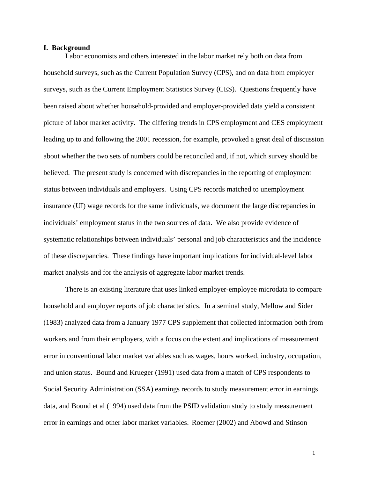#### **I. Background**

 Labor economists and others interested in the labor market rely both on data from household surveys, such as the Current Population Survey (CPS), and on data from employer surveys, such as the Current Employment Statistics Survey (CES). Questions frequently have been raised about whether household-provided and employer-provided data yield a consistent picture of labor market activity. The differing trends in CPS employment and CES employment leading up to and following the 2001 recession, for example, provoked a great deal of discussion about whether the two sets of numbers could be reconciled and, if not, which survey should be believed. The present study is concerned with discrepancies in the reporting of employment status between individuals and employers. Using CPS records matched to unemployment insurance (UI) wage records for the same individuals, we document the large discrepancies in individuals' employment status in the two sources of data. We also provide evidence of systematic relationships between individuals' personal and job characteristics and the incidence of these discrepancies. These findings have important implications for individual-level labor market analysis and for the analysis of aggregate labor market trends.

 There is an existing literature that uses linked employer-employee microdata to compare household and employer reports of job characteristics. In a seminal study, Mellow and Sider (1983) analyzed data from a January 1977 CPS supplement that collected information both from workers and from their employers, with a focus on the extent and implications of measurement error in conventional labor market variables such as wages, hours worked, industry, occupation, and union status. Bound and Krueger (1991) used data from a match of CPS respondents to Social Security Administration (SSA) earnings records to study measurement error in earnings data, and Bound et al (1994) used data from the PSID validation study to study measurement error in earnings and other labor market variables. Roemer (2002) and Abowd and Stinson

1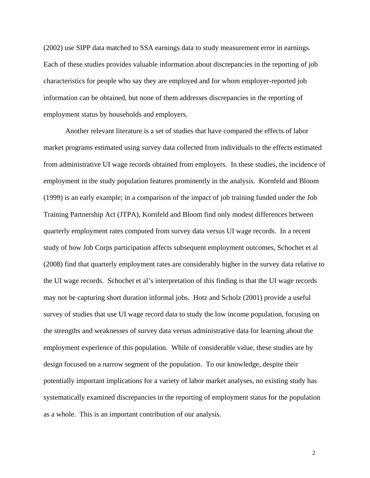(2002) use SIPP data matched to SSA earnings data to study measurement error in earnings. Each of these studies provides valuable information about discrepancies in the reporting of job characteristics for people who say they are employed and for whom employer-reported job information can be obtained, but none of them addresses discrepancies in the reporting of employment status by households and employers.

 Another relevant literature is a set of studies that have compared the effects of labor market programs estimated using survey data collected from individuals to the effects estimated from administrative UI wage records obtained from employers. In these studies, the incidence of employment in the study population features prominently in the analysis. Kornfeld and Bloom (1999) is an early example; in a comparison of the impact of job training funded under the Job Training Partnership Act (JTPA), Kornfeld and Bloom find only modest differences between quarterly employment rates computed from survey data versus UI wage records. In a recent study of how Job Corps participation affects subsequent employment outcomes, Schochet et al (2008) find that quarterly employment rates are considerably higher in the survey data relative to the UI wage records. Schochet et al's interpretation of this finding is that the UI wage records may not be capturing short duration informal jobs. Hotz and Scholz (2001) provide a useful survey of studies that use UI wage record data to study the low income population, focusing on the strengths and weaknesses of survey data versus administrative data for learning about the employment experience of this population. While of considerable value, these studies are by design focused on a narrow segment of the population. To our knowledge, despite their potentially important implications for a variety of labor market analyses, no existing study has systematically examined discrepancies in the reporting of employment status for the population as a whole. This is an important contribution of our analysis.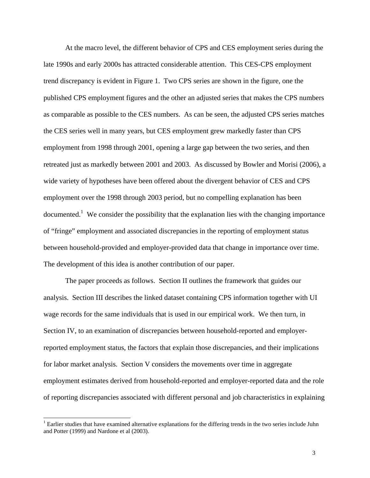At the macro level, the different behavior of CPS and CES employment series during the late 1990s and early 2000s has attracted considerable attention. This CES-CPS employment trend discrepancy is evident in Figure 1. Two CPS series are shown in the figure, one the published CPS employment figures and the other an adjusted series that makes the CPS numbers as comparable as possible to the CES numbers. As can be seen, the adjusted CPS series matches the CES series well in many years, but CES employment grew markedly faster than CPS employment from 1998 through 2001, opening a large gap between the two series, and then retreated just as markedly between 2001 and 2003. As discussed by Bowler and Morisi (2006), a wide variety of hypotheses have been offered about the divergent behavior of CES and CPS employment over the 1998 through 2003 period, but no compelling explanation has been documented.<sup>1</sup> We consider the possibility that the explanation lies with the changing importance of "fringe" employment and associated discrepancies in the reporting of employment status between household-provided and employer-provided data that change in importance over time. The development of this idea is another contribution of our paper.

 The paper proceeds as follows. Section II outlines the framework that guides our analysis. Section III describes the linked dataset containing CPS information together with UI wage records for the same individuals that is used in our empirical work. We then turn, in Section IV, to an examination of discrepancies between household-reported and employerreported employment status, the factors that explain those discrepancies, and their implications for labor market analysis. Section V considers the movements over time in aggregate employment estimates derived from household-reported and employer-reported data and the role of reporting discrepancies associated with different personal and job characteristics in explaining

 $\overline{a}$ 

 $1$  Earlier studies that have examined alternative explanations for the differing trends in the two series include Juhn and Potter (1999) and Nardone et al (2003).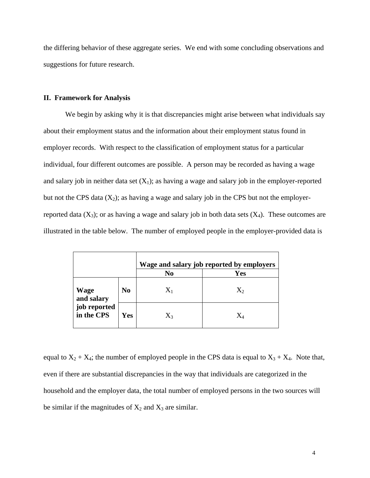the differing behavior of these aggregate series. We end with some concluding observations and suggestions for future research.

### **II. Framework for Analysis**

 We begin by asking why it is that discrepancies might arise between what individuals say about their employment status and the information about their employment status found in employer records. With respect to the classification of employment status for a particular individual, four different outcomes are possible. A person may be recorded as having a wage and salary job in neither data set  $(X_1)$ ; as having a wage and salary job in the employer-reported but not the CPS data  $(X_2)$ ; as having a wage and salary job in the CPS but not the employerreported data  $(X_3)$ ; or as having a wage and salary job in both data sets  $(X_4)$ . These outcomes are illustrated in the table below. The number of employed people in the employer-provided data is

|                            |                | Wage and salary job reported by employers |             |  |
|----------------------------|----------------|-------------------------------------------|-------------|--|
|                            |                | No                                        | <b>Yes</b>  |  |
| Wage<br>and salary         | N <sub>0</sub> | $X_1$                                     | $X_2$       |  |
| job reported<br>in the CPS | Yes            | $X_3$                                     | $\mathbf X$ |  |

equal to  $X_2 + X_4$ ; the number of employed people in the CPS data is equal to  $X_3 + X_4$ . Note that, even if there are substantial discrepancies in the way that individuals are categorized in the household and the employer data, the total number of employed persons in the two sources will be similar if the magnitudes of  $X_2$  and  $X_3$  are similar.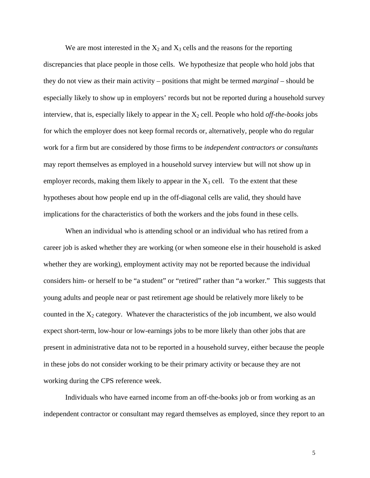We are most interested in the  $X_2$  and  $X_3$  cells and the reasons for the reporting discrepancies that place people in those cells. We hypothesize that people who hold jobs that they do not view as their main activity – positions that might be termed *marginal* – should be especially likely to show up in employers' records but not be reported during a household survey interview, that is, especially likely to appear in the  $X_2$  cell. People who hold *off-the-books* jobs for which the employer does not keep formal records or, alternatively, people who do regular work for a firm but are considered by those firms to be *independent contractors or consultants* may report themselves as employed in a household survey interview but will not show up in employer records, making them likely to appear in the  $X_3$  cell. To the extent that these hypotheses about how people end up in the off-diagonal cells are valid, they should have implications for the characteristics of both the workers and the jobs found in these cells.

 When an individual who is attending school or an individual who has retired from a career job is asked whether they are working (or when someone else in their household is asked whether they are working), employment activity may not be reported because the individual considers him- or herself to be "a student" or "retired" rather than "a worker." This suggests that young adults and people near or past retirement age should be relatively more likely to be counted in the  $X_2$  category. Whatever the characteristics of the job incumbent, we also would expect short-term, low-hour or low-earnings jobs to be more likely than other jobs that are present in administrative data not to be reported in a household survey, either because the people in these jobs do not consider working to be their primary activity or because they are not working during the CPS reference week.

 Individuals who have earned income from an off-the-books job or from working as an independent contractor or consultant may regard themselves as employed, since they report to an

5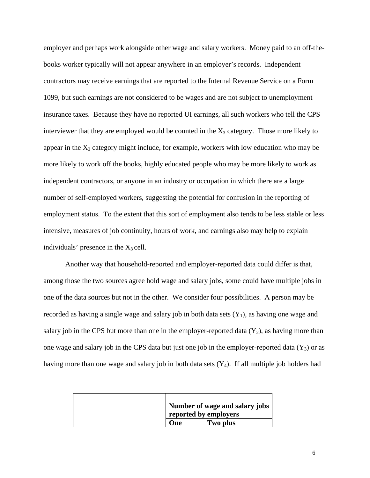employer and perhaps work alongside other wage and salary workers. Money paid to an off-thebooks worker typically will not appear anywhere in an employer's records. Independent contractors may receive earnings that are reported to the Internal Revenue Service on a Form 1099, but such earnings are not considered to be wages and are not subject to unemployment insurance taxes. Because they have no reported UI earnings, all such workers who tell the CPS interviewer that they are employed would be counted in the  $X_3$  category. Those more likely to appear in the  $X_3$  category might include, for example, workers with low education who may be more likely to work off the books, highly educated people who may be more likely to work as independent contractors, or anyone in an industry or occupation in which there are a large number of self-employed workers, suggesting the potential for confusion in the reporting of employment status. To the extent that this sort of employment also tends to be less stable or less intensive, measures of job continuity, hours of work, and earnings also may help to explain individuals' presence in the  $X_3$  cell.

 Another way that household-reported and employer-reported data could differ is that, among those the two sources agree hold wage and salary jobs, some could have multiple jobs in one of the data sources but not in the other. We consider four possibilities. A person may be recorded as having a single wage and salary job in both data sets  $(Y_1)$ , as having one wage and salary job in the CPS but more than one in the employer-reported data  $(Y_2)$ , as having more than one wage and salary job in the CPS data but just one job in the employer-reported data  $(Y_3)$  or as having more than one wage and salary job in both data sets  $(Y_4)$ . If all multiple job holders had

|  |                       | Number of wage and salary jobs |
|--|-----------------------|--------------------------------|
|  | reported by employers |                                |
|  | One                   | Two plus                       |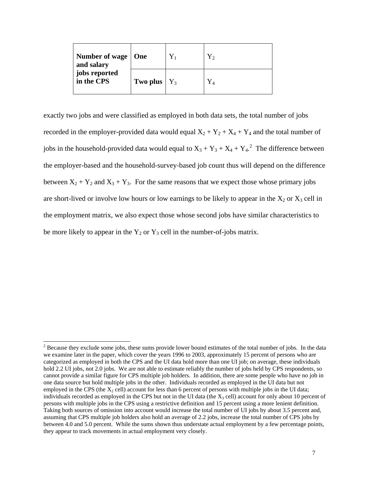| Number of wage   One<br>and salary |                       | ${\rm Y_2}$ |
|------------------------------------|-----------------------|-------------|
| jobs reported<br>in the CPS        | <b>Two plus</b> $Y_3$ |             |

exactly two jobs and were classified as employed in both data sets, the total number of jobs recorded in the employer-provided data would equal  $X_2 + Y_2 + X_4 + Y_4$  and the total number of jobs in the household-provided data would equal to  $X_3 + Y_3 + X_4 + Y_4$ <sup>2</sup>. The difference between the employer-based and the household-survey-based job count thus will depend on the difference between  $X_2 + Y_2$  and  $X_3 + Y_3$ . For the same reasons that we expect those whose primary jobs are short-lived or involve low hours or low earnings to be likely to appear in the  $X_2$  or  $X_3$  cell in the employment matrix, we also expect those whose second jobs have similar characteristics to be more likely to appear in the  $Y_2$  or  $Y_3$  cell in the number-of-jobs matrix.

<sup>&</sup>lt;sup>2</sup> Because they exclude some jobs, these sums provide lower bound estimates of the total number of jobs. In the data we examine later in the paper, which cover the years 1996 to 2003, approximately 15 percent of persons who are categorized as employed in both the CPS and the UI data hold more than one UI job; on average, these individuals hold 2.2 UI jobs, not 2.0 jobs. We are not able to estimate reliably the number of jobs held by CPS respondents, so cannot provide a similar figure for CPS multiple job holders. In addition, there are some people who have no job in one data source but hold multiple jobs in the other. Individuals recorded as employed in the UI data but not employed in the CPS (the  $X_2$  cell) account for less than 6 percent of persons with multiple jobs in the UI data; individuals recorded as employed in the CPS but not in the UI data (the  $X_3$  cell) account for only about 10 percent of persons with multiple jobs in the CPS using a restrictive definition and 15 percent using a more lenient definition. Taking both sources of omission into account would increase the total number of UI jobs by about 3.5 percent and, assuming that CPS multiple job holders also hold an average of 2.2 jobs, increase the total number of CPS jobs by between 4.0 and 5.0 percent. While the sums shown thus understate actual employment by a few percentage points, they appear to track movements in actual employment very closely.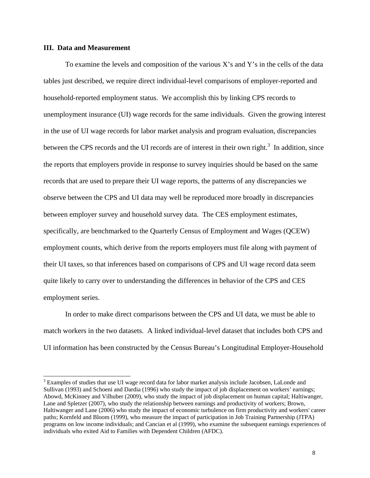## **III. Data and Measurement**

 $\overline{a}$ 

To examine the levels and composition of the various X's and Y's in the cells of the data tables just described, we require direct individual-level comparisons of employer-reported and household-reported employment status. We accomplish this by linking CPS records to unemployment insurance (UI) wage records for the same individuals. Given the growing interest in the use of UI wage records for labor market analysis and program evaluation, discrepancies between the CPS records and the UI records are of interest in their own right.<sup>3</sup> In addition, since the reports that employers provide in response to survey inquiries should be based on the same records that are used to prepare their UI wage reports, the patterns of any discrepancies we observe between the CPS and UI data may well be reproduced more broadly in discrepancies between employer survey and household survey data. The CES employment estimates, specifically, are benchmarked to the Quarterly Census of Employment and Wages (QCEW) employment counts, which derive from the reports employers must file along with payment of their UI taxes, so that inferences based on comparisons of CPS and UI wage record data seem quite likely to carry over to understanding the differences in behavior of the CPS and CES employment series.

In order to make direct comparisons between the CPS and UI data, we must be able to match workers in the two datasets. A linked individual-level dataset that includes both CPS and UI information has been constructed by the Census Bureau's Longitudinal Employer-Household

<sup>&</sup>lt;sup>3</sup> Examples of studies that use UI wage record data for labor market analysis include Jacobsen, LaLonde and Sullivan (1993) and Schoeni and Dardia (1996) who study the impact of job displacement on workers' earnings; Abowd, McKinney and Vilhuber (2009), who study the impact of job displacement on human capital; Haltiwanger, Lane and Spletzer (2007), who study the relationship between earnings and productivity of workers; Brown, Haltiwanger and Lane (2006) who study the impact of economic turbulence on firm productivity and workers' career paths; Kornfeld and Bloom (1999), who measure the impact of participation in Job Training Partnership (JTPA) programs on low income individuals; and Cancian et al (1999), who examine the subsequent earnings experiences of individuals who exited Aid to Families with Dependent Children (AFDC).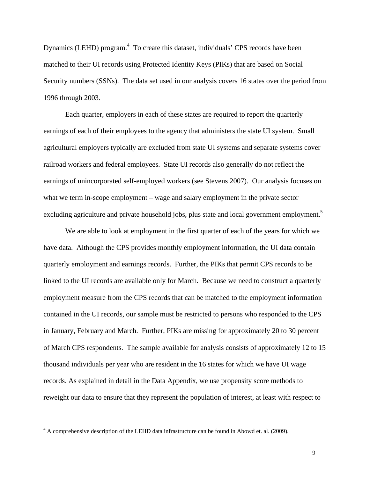Dynamics (LEHD) program.<sup>4</sup> To create this dataset, individuals' CPS records have been matched to their UI records using Protected Identity Keys (PIKs) that are based on Social Security numbers (SSNs). The data set used in our analysis covers 16 states over the period from 1996 through 2003.

Each quarter, employers in each of these states are required to report the quarterly earnings of each of their employees to the agency that administers the state UI system. Small agricultural employers typically are excluded from state UI systems and separate systems cover railroad workers and federal employees. State UI records also generally do not reflect the earnings of unincorporated self-employed workers (see Stevens 2007). Our analysis focuses on what we term in-scope employment – wage and salary employment in the private sector excluding agriculture and private household jobs, plus state and local government employment.<sup>5</sup>

We are able to look at employment in the first quarter of each of the years for which we have data. Although the CPS provides monthly employment information, the UI data contain quarterly employment and earnings records. Further, the PIKs that permit CPS records to be linked to the UI records are available only for March. Because we need to construct a quarterly employment measure from the CPS records that can be matched to the employment information contained in the UI records, our sample must be restricted to persons who responded to the CPS in January, February and March. Further, PIKs are missing for approximately 20 to 30 percent of March CPS respondents. The sample available for analysis consists of approximately 12 to 15 thousand individuals per year who are resident in the 16 states for which we have UI wage records. As explained in detail in the Data Appendix, we use propensity score methods to reweight our data to ensure that they represent the population of interest, at least with respect to

 $\overline{a}$ 

 $4 \text{ A comprehensive description of the LEHD data infrastructure can be found in About et al. (2009).}$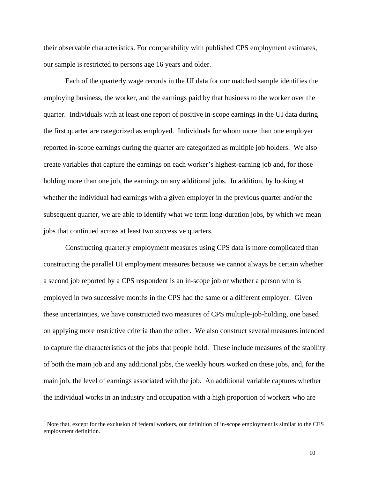their observable characteristics. For comparability with published CPS employment estimates, our sample is restricted to persons age 16 years and older.

 Each of the quarterly wage records in the UI data for our matched sample identifies the employing business, the worker, and the earnings paid by that business to the worker over the quarter. Individuals with at least one report of positive in-scope earnings in the UI data during the first quarter are categorized as employed. Individuals for whom more than one employer reported in-scope earnings during the quarter are categorized as multiple job holders. We also create variables that capture the earnings on each worker's highest-earning job and, for those holding more than one job, the earnings on any additional jobs. In addition, by looking at whether the individual had earnings with a given employer in the previous quarter and/or the subsequent quarter, we are able to identify what we term long-duration jobs, by which we mean jobs that continued across at least two successive quarters.

 Constructing quarterly employment measures using CPS data is more complicated than constructing the parallel UI employment measures because we cannot always be certain whether a second job reported by a CPS respondent is an in-scope job or whether a person who is employed in two successive months in the CPS had the same or a different employer. Given these uncertainties, we have constructed two measures of CPS multiple-job-holding, one based on applying more restrictive criteria than the other. We also construct several measures intended to capture the characteristics of the jobs that people hold. These include measures of the stability of both the main job and any additional jobs, the weekly hours worked on these jobs, and, for the main job, the level of earnings associated with the job. An additional variable captures whether the individual works in an industry and occupation with a high proportion of workers who are

 <sup>5</sup> <sup>5</sup> Note that, except for the exclusion of federal workers, our definition of in-scope employment is similar to the CES employment definition.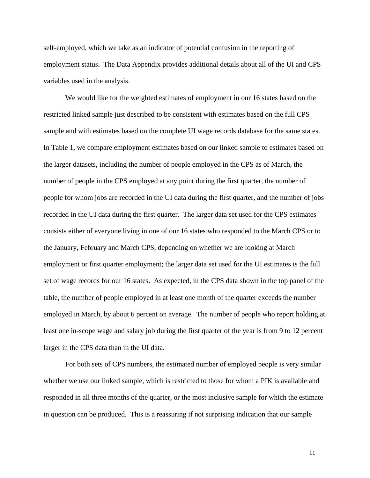self-employed, which we take as an indicator of potential confusion in the reporting of employment status. The Data Appendix provides additional details about all of the UI and CPS variables used in the analysis.

 We would like for the weighted estimates of employment in our 16 states based on the restricted linked sample just described to be consistent with estimates based on the full CPS sample and with estimates based on the complete UI wage records database for the same states. In Table 1, we compare employment estimates based on our linked sample to estimates based on the larger datasets, including the number of people employed in the CPS as of March, the number of people in the CPS employed at any point during the first quarter, the number of people for whom jobs are recorded in the UI data during the first quarter, and the number of jobs recorded in the UI data during the first quarter. The larger data set used for the CPS estimates consists either of everyone living in one of our 16 states who responded to the March CPS or to the January, February and March CPS, depending on whether we are looking at March employment or first quarter employment; the larger data set used for the UI estimates is the full set of wage records for our 16 states. As expected, in the CPS data shown in the top panel of the table, the number of people employed in at least one month of the quarter exceeds the number employed in March, by about 6 percent on average. The number of people who report holding at least one in-scope wage and salary job during the first quarter of the year is from 9 to 12 percent larger in the CPS data than in the UI data.

 For both sets of CPS numbers, the estimated number of employed people is very similar whether we use our linked sample, which is restricted to those for whom a PIK is available and responded in all three months of the quarter, or the most inclusive sample for which the estimate in question can be produced. This is a reassuring if not surprising indication that our sample

11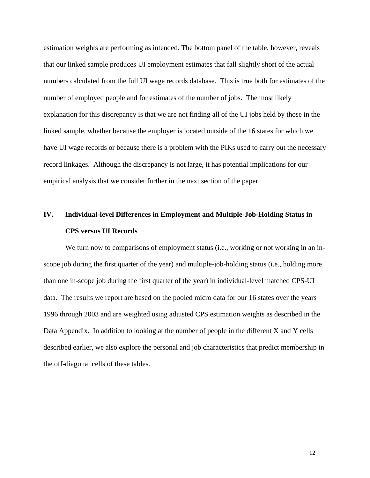estimation weights are performing as intended. The bottom panel of the table, however, reveals that our linked sample produces UI employment estimates that fall slightly short of the actual numbers calculated from the full UI wage records database. This is true both for estimates of the number of employed people and for estimates of the number of jobs. The most likely explanation for this discrepancy is that we are not finding all of the UI jobs held by those in the linked sample, whether because the employer is located outside of the 16 states for which we have UI wage records or because there is a problem with the PIKs used to carry out the necessary record linkages. Although the discrepancy is not large, it has potential implications for our empirical analysis that we consider further in the next section of the paper.

# **IV. Individual-level Differences in Employment and Multiple-Job-Holding Status in CPS versus UI Records**

We turn now to comparisons of employment status (i.e., working or not working in an inscope job during the first quarter of the year) and multiple-job-holding status (i.e., holding more than one in-scope job during the first quarter of the year) in individual-level matched CPS-UI data. The results we report are based on the pooled micro data for our 16 states over the years 1996 through 2003 and are weighted using adjusted CPS estimation weights as described in the Data Appendix. In addition to looking at the number of people in the different X and Y cells described earlier, we also explore the personal and job characteristics that predict membership in the off-diagonal cells of these tables.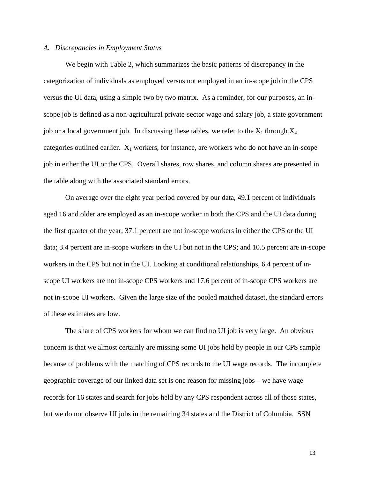#### *A. Discrepancies in Employment Status*

 We begin with Table 2, which summarizes the basic patterns of discrepancy in the categorization of individuals as employed versus not employed in an in-scope job in the CPS versus the UI data, using a simple two by two matrix. As a reminder, for our purposes, an inscope job is defined as a non-agricultural private-sector wage and salary job, a state government job or a local government job. In discussing these tables, we refer to the  $X_1$  through  $X_4$ categories outlined earlier.  $X_1$  workers, for instance, are workers who do not have an in-scope job in either the UI or the CPS. Overall shares, row shares, and column shares are presented in the table along with the associated standard errors.

 On average over the eight year period covered by our data, 49.1 percent of individuals aged 16 and older are employed as an in-scope worker in both the CPS and the UI data during the first quarter of the year; 37.1 percent are not in-scope workers in either the CPS or the UI data; 3.4 percent are in-scope workers in the UI but not in the CPS; and 10.5 percent are in-scope workers in the CPS but not in the UI. Looking at conditional relationships, 6.4 percent of inscope UI workers are not in-scope CPS workers and 17.6 percent of in-scope CPS workers are not in-scope UI workers. Given the large size of the pooled matched dataset, the standard errors of these estimates are low.

 The share of CPS workers for whom we can find no UI job is very large. An obvious concern is that we almost certainly are missing some UI jobs held by people in our CPS sample because of problems with the matching of CPS records to the UI wage records. The incomplete geographic coverage of our linked data set is one reason for missing jobs – we have wage records for 16 states and search for jobs held by any CPS respondent across all of those states, but we do not observe UI jobs in the remaining 34 states and the District of Columbia. SSN

13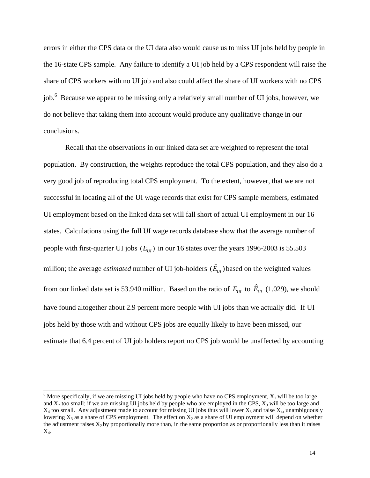errors in either the CPS data or the UI data also would cause us to miss UI jobs held by people in the 16-state CPS sample. Any failure to identify a UI job held by a CPS respondent will raise the share of CPS workers with no UI job and also could affect the share of UI workers with no CPS job.<sup>6</sup> Because we appear to be missing only a relatively small number of UI jobs, however, we do not believe that taking them into account would produce any qualitative change in our conclusions.

 Recall that the observations in our linked data set are weighted to represent the total population. By construction, the weights reproduce the total CPS population, and they also do a very good job of reproducing total CPS employment. To the extent, however, that we are not successful in locating all of the UI wage records that exist for CPS sample members, estimated UI employment based on the linked data set will fall short of actual UI employment in our 16 states. Calculations using the full UI wage records database show that the average number of people with first-quarter UI jobs  $(E_{UI})$  in our 16 states over the years 1996-2003 is 55.503 million; the average *estimated* number of UI job-holders  $(\hat{E}_{U}$ ) based on the weighted values from our linked data set is 53.940 million. Based on the ratio of  $E_{U}$  to  $\hat{E}_{U}$  (1.029), we should have found altogether about 2.9 percent more people with UI jobs than we actually did. If UI jobs held by those with and without CPS jobs are equally likely to have been missed, our estimate that 6.4 percent of UI job holders report no CPS job would be unaffected by accounting

 $\frac{6}{6}$  More specifically, if we are missing UI jobs held by people who have no CPS employment,  $X_1$  will be too large and  $X_2$  too small; if we are missing UI jobs held by people who are employed in the CPS,  $X_3$  will be too large and  $X_4$  too small. Any adjustment made to account for missing UI jobs thus will lower  $X_3$  and raise  $X_4$ , unambiguously lowering  $X_3$  as a share of CPS employment. The effect on  $X_2$  as a share of UI employment will depend on whether the adjustment raises  $X_2$  by proportionally more than, in the same proportion as or proportionally less than it raises X4.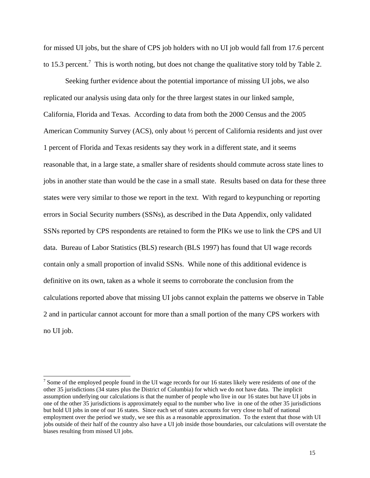for missed UI jobs, but the share of CPS job holders with no UI job would fall from 17.6 percent to 15.3 percent.<sup>7</sup> This is worth noting, but does not change the qualitative story told by Table 2.

 Seeking further evidence about the potential importance of missing UI jobs, we also replicated our analysis using data only for the three largest states in our linked sample, California, Florida and Texas. According to data from both the 2000 Census and the 2005 American Community Survey (ACS), only about ½ percent of California residents and just over 1 percent of Florida and Texas residents say they work in a different state, and it seems reasonable that, in a large state, a smaller share of residents should commute across state lines to jobs in another state than would be the case in a small state. Results based on data for these three states were very similar to those we report in the text. With regard to keypunching or reporting errors in Social Security numbers (SSNs), as described in the Data Appendix, only validated SSNs reported by CPS respondents are retained to form the PIKs we use to link the CPS and UI data. Bureau of Labor Statistics (BLS) research (BLS 1997) has found that UI wage records contain only a small proportion of invalid SSNs. While none of this additional evidence is definitive on its own, taken as a whole it seems to corroborate the conclusion from the calculations reported above that missing UI jobs cannot explain the patterns we observe in Table 2 and in particular cannot account for more than a small portion of the many CPS workers with no UI job.

 $\overline{a}$ 

 $<sup>7</sup>$  Some of the employed people found in the UI wage records for our 16 states likely were residents of one of the</sup> other 35 jurisdictions (34 states plus the District of Columbia) for which we do not have data. The implicit assumption underlying our calculations is that the number of people who live in our 16 states but have UI jobs in one of the other 35 jurisdictions is approximately equal to the number who live in one of the other 35 jurisdictions but hold UI jobs in one of our 16 states. Since each set of states accounts for very close to half of national employment over the period we study, we see this as a reasonable approximation. To the extent that those with UI jobs outside of their half of the country also have a UI job inside those boundaries, our calculations will overstate the biases resulting from missed UI jobs.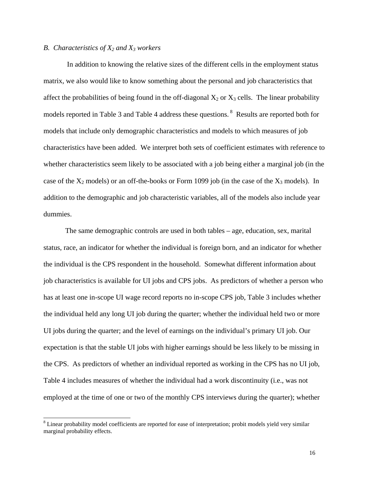# *B. Characteristics of X2 and X3 workers*

 $\overline{a}$ 

 In addition to knowing the relative sizes of the different cells in the employment status matrix, we also would like to know something about the personal and job characteristics that affect the probabilities of being found in the off-diagonal  $X_2$  or  $X_3$  cells. The linear probability models reported in Table 3 and Table 4 address these questions. 8 Results are reported both for models that include only demographic characteristics and models to which measures of job characteristics have been added. We interpret both sets of coefficient estimates with reference to whether characteristics seem likely to be associated with a job being either a marginal job (in the case of the  $X_2$  models) or an off-the-books or Form 1099 job (in the case of the  $X_3$  models). In addition to the demographic and job characteristic variables, all of the models also include year dummies.

The same demographic controls are used in both tables – age, education, sex, marital status, race, an indicator for whether the individual is foreign born, and an indicator for whether the individual is the CPS respondent in the household. Somewhat different information about job characteristics is available for UI jobs and CPS jobs. As predictors of whether a person who has at least one in-scope UI wage record reports no in-scope CPS job, Table 3 includes whether the individual held any long UI job during the quarter; whether the individual held two or more UI jobs during the quarter; and the level of earnings on the individual's primary UI job. Our expectation is that the stable UI jobs with higher earnings should be less likely to be missing in the CPS. As predictors of whether an individual reported as working in the CPS has no UI job, Table 4 includes measures of whether the individual had a work discontinuity (i.e., was not employed at the time of one or two of the monthly CPS interviews during the quarter); whether

<sup>&</sup>lt;sup>8</sup> Linear probability model coefficients are reported for ease of interpretation; probit models yield very similar marginal probability effects.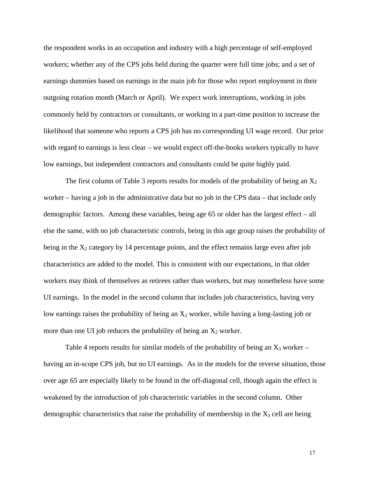the respondent works in an occupation and industry with a high percentage of self-employed workers; whether any of the CPS jobs held during the quarter were full time jobs; and a set of earnings dummies based on earnings in the main job for those who report employment in their outgoing rotation month (March or April). We expect work interruptions, working in jobs commonly held by contractors or consultants, or working in a part-time position to increase the likelihood that someone who reports a CPS job has no corresponding UI wage record. Our prior with regard to earnings is less clear – we would expect off-the-books workers typically to have low earnings, but independent contractors and consultants could be quite highly paid.

The first column of Table 3 reports results for models of the probability of being an  $X_2$ worker – having a job in the administrative data but no job in the CPS data – that include only demographic factors. Among these variables, being age 65 or older has the largest effect – all else the same, with no job characteristic controls, being in this age group raises the probability of being in the  $X_2$  category by 14 percentage points, and the effect remains large even after job characteristics are added to the model. This is consistent with our expectations, in that older workers may think of themselves as retirees rather than workers, but may nonetheless have some UI earnings. In the model in the second column that includes job characteristics, having very low earnings raises the probability of being an  $X_2$  worker, while having a long-lasting job or more than one UI job reduces the probability of being an  $X_2$  worker.

Table 4 reports results for similar models of the probability of being an  $X_3$  worker – having an in-scope CPS job, but no UI earnings. As in the models for the reverse situation, those over age 65 are especially likely to be found in the off-diagonal cell, though again the effect is weakened by the introduction of job characteristic variables in the second column. Other demographic characteristics that raise the probability of membership in the  $X_3$  cell are being

17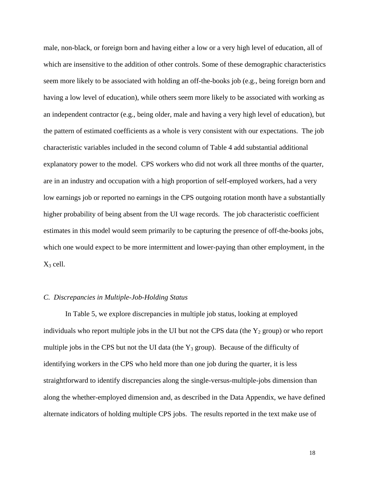male, non-black, or foreign born and having either a low or a very high level of education, all of which are insensitive to the addition of other controls. Some of these demographic characteristics seem more likely to be associated with holding an off-the-books job (e.g., being foreign born and having a low level of education), while others seem more likely to be associated with working as an independent contractor (e.g., being older, male and having a very high level of education), but the pattern of estimated coefficients as a whole is very consistent with our expectations. The job characteristic variables included in the second column of Table 4 add substantial additional explanatory power to the model. CPS workers who did not work all three months of the quarter, are in an industry and occupation with a high proportion of self-employed workers, had a very low earnings job or reported no earnings in the CPS outgoing rotation month have a substantially higher probability of being absent from the UI wage records. The job characteristic coefficient estimates in this model would seem primarily to be capturing the presence of off-the-books jobs, which one would expect to be more intermittent and lower-paying than other employment, in the  $X_3$  cell.

# *C. Discrepancies in Multiple-Job-Holding Status*

 In Table 5, we explore discrepancies in multiple job status, looking at employed individuals who report multiple jobs in the UI but not the CPS data (the  $Y_2$  group) or who report multiple jobs in the CPS but not the UI data (the  $Y_3$  group). Because of the difficulty of identifying workers in the CPS who held more than one job during the quarter, it is less straightforward to identify discrepancies along the single-versus-multiple-jobs dimension than along the whether-employed dimension and, as described in the Data Appendix, we have defined alternate indicators of holding multiple CPS jobs. The results reported in the text make use of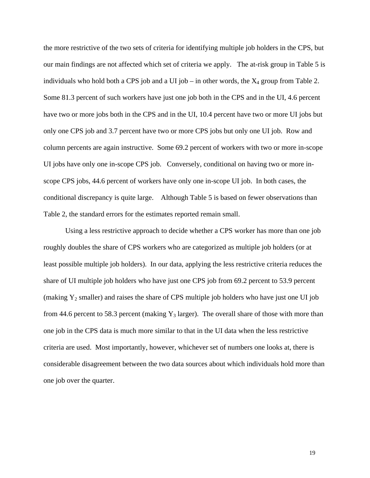the more restrictive of the two sets of criteria for identifying multiple job holders in the CPS, but our main findings are not affected which set of criteria we apply. The at-risk group in Table 5 is individuals who hold both a CPS job and a UI job – in other words, the  $X_4$  group from Table 2. Some 81.3 percent of such workers have just one job both in the CPS and in the UI, 4.6 percent have two or more jobs both in the CPS and in the UI, 10.4 percent have two or more UI jobs but only one CPS job and 3.7 percent have two or more CPS jobs but only one UI job. Row and column percents are again instructive. Some 69.2 percent of workers with two or more in-scope UI jobs have only one in-scope CPS job. Conversely, conditional on having two or more inscope CPS jobs, 44.6 percent of workers have only one in-scope UI job. In both cases, the conditional discrepancy is quite large. Although Table 5 is based on fewer observations than Table 2, the standard errors for the estimates reported remain small.

 Using a less restrictive approach to decide whether a CPS worker has more than one job roughly doubles the share of CPS workers who are categorized as multiple job holders (or at least possible multiple job holders). In our data, applying the less restrictive criteria reduces the share of UI multiple job holders who have just one CPS job from 69.2 percent to 53.9 percent (making  $Y_2$  smaller) and raises the share of CPS multiple job holders who have just one UI job from 44.6 percent to 58.3 percent (making  $Y_3$  larger). The overall share of those with more than one job in the CPS data is much more similar to that in the UI data when the less restrictive criteria are used. Most importantly, however, whichever set of numbers one looks at, there is considerable disagreement between the two data sources about which individuals hold more than one job over the quarter.

19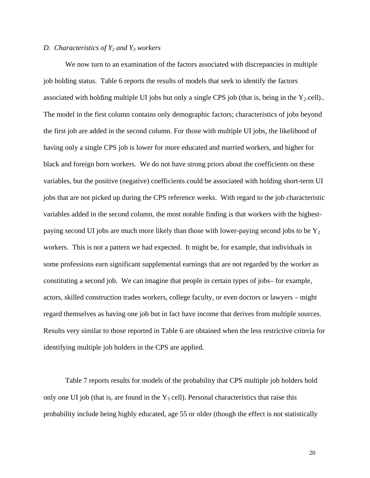# *D. Characteristics of Y2 and Y3 workers*

We now turn to an examination of the factors associated with discrepancies in multiple job holding status. Table 6 reports the results of models that seek to identify the factors associated with holding multiple UI jobs but only a single CPS job (that is, being in the  $Y_2$ .cell).. The model in the first column contains only demographic factors; characteristics of jobs beyond the first job are added in the second column. For those with multiple UI jobs, the likelihood of having only a single CPS job is lower for more educated and married workers, and higher for black and foreign born workers. We do not have strong priors about the coefficients on these variables, but the positive (negative) coefficients could be associated with holding short-term UI jobs that are not picked up during the CPS reference weeks. With regard to the job characteristic variables added in the second column, the most notable finding is that workers with the highestpaying second UI jobs are much more likely than those with lower-paying second jobs to be  $Y_2$ workers. This is not a pattern we had expected. It might be, for example, that individuals in some professions earn significant supplemental earnings that are not regarded by the worker as constituting a second job. We can imagine that people in certain types of jobs– for example, actors, skilled construction trades workers, college faculty, or even doctors or lawyers – might regard themselves as having one job but in fact have income that derives from multiple sources. Results very similar to those reported in Table 6 are obtained when the less restrictive criteria for identifying multiple job holders in the CPS are applied.

Table 7 reports results for models of the probability that CPS multiple job holders hold only one UI job (that is, are found in the  $Y_3$  cell). Personal characteristics that raise this probability include being highly educated, age 55 or older (though the effect is not statistically

20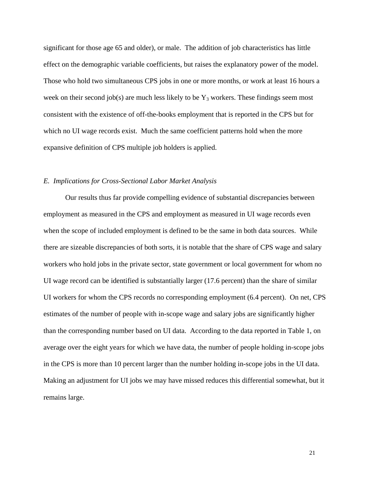significant for those age 65 and older), or male. The addition of job characteristics has little effect on the demographic variable coefficients, but raises the explanatory power of the model. Those who hold two simultaneous CPS jobs in one or more months, or work at least 16 hours a week on their second job(s) are much less likely to be  $Y_3$  workers. These findings seem most consistent with the existence of off-the-books employment that is reported in the CPS but for which no UI wage records exist. Much the same coefficient patterns hold when the more expansive definition of CPS multiple job holders is applied.

## *E. Implications for Cross-Sectional Labor Market Analysis*

 Our results thus far provide compelling evidence of substantial discrepancies between employment as measured in the CPS and employment as measured in UI wage records even when the scope of included employment is defined to be the same in both data sources. While there are sizeable discrepancies of both sorts, it is notable that the share of CPS wage and salary workers who hold jobs in the private sector, state government or local government for whom no UI wage record can be identified is substantially larger (17.6 percent) than the share of similar UI workers for whom the CPS records no corresponding employment (6.4 percent). On net, CPS estimates of the number of people with in-scope wage and salary jobs are significantly higher than the corresponding number based on UI data. According to the data reported in Table 1, on average over the eight years for which we have data, the number of people holding in-scope jobs in the CPS is more than 10 percent larger than the number holding in-scope jobs in the UI data. Making an adjustment for UI jobs we may have missed reduces this differential somewhat, but it remains large.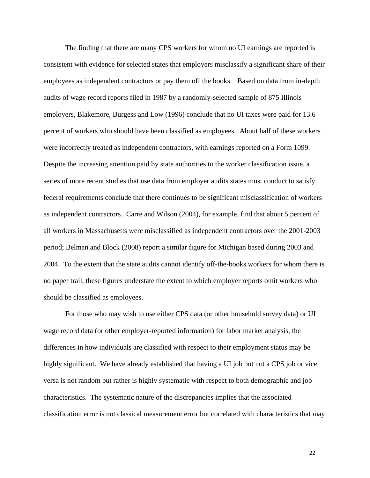The finding that there are many CPS workers for whom no UI earnings are reported is consistent with evidence for selected states that employers misclassify a significant share of their employees as independent contractors or pay them off the books. Based on data from in-depth audits of wage record reports filed in 1987 by a randomly-selected sample of 875 Illinois employers, Blakemore, Burgess and Low (1996) conclude that no UI taxes were paid for 13.6 percent of workers who should have been classified as employees. About half of these workers were incorrectly treated as independent contractors, with earnings reported on a Form 1099. Despite the increasing attention paid by state authorities to the worker classification issue, a series of more recent studies that use data from employer audits states must conduct to satisfy federal requirements conclude that there continues to be significant misclassification of workers as independent contractors. Carre and Wilson (2004), for example, find that about 5 percent of all workers in Massachusetts were misclassified as independent contractors over the 2001-2003 period; Belman and Block (2008) report a similar figure for Michigan based during 2003 and 2004. To the extent that the state audits cannot identify off-the-books workers for whom there is no paper trail, these figures understate the extent to which employer reports omit workers who should be classified as employees.

 For those who may wish to use either CPS data (or other household survey data) or UI wage record data (or other employer-reported information) for labor market analysis, the differences in how individuals are classified with respect to their employment status may be highly significant. We have already established that having a UI job but not a CPS job or vice versa is not random but rather is highly systematic with respect to both demographic and job characteristics. The systematic nature of the discrepancies implies that the associated classification error is not classical measurement error but correlated with characteristics that may

22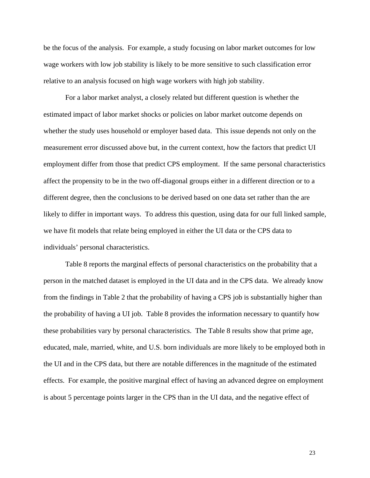be the focus of the analysis. For example, a study focusing on labor market outcomes for low wage workers with low job stability is likely to be more sensitive to such classification error relative to an analysis focused on high wage workers with high job stability.

For a labor market analyst, a closely related but different question is whether the estimated impact of labor market shocks or policies on labor market outcome depends on whether the study uses household or employer based data. This issue depends not only on the measurement error discussed above but, in the current context, how the factors that predict UI employment differ from those that predict CPS employment. If the same personal characteristics affect the propensity to be in the two off-diagonal groups either in a different direction or to a different degree, then the conclusions to be derived based on one data set rather than the are likely to differ in important ways. To address this question, using data for our full linked sample, we have fit models that relate being employed in either the UI data or the CPS data to individuals' personal characteristics.

Table 8 reports the marginal effects of personal characteristics on the probability that a person in the matched dataset is employed in the UI data and in the CPS data. We already know from the findings in Table 2 that the probability of having a CPS job is substantially higher than the probability of having a UI job. Table 8 provides the information necessary to quantify how these probabilities vary by personal characteristics. The Table 8 results show that prime age, educated, male, married, white, and U.S. born individuals are more likely to be employed both in the UI and in the CPS data, but there are notable differences in the magnitude of the estimated effects. For example, the positive marginal effect of having an advanced degree on employment is about 5 percentage points larger in the CPS than in the UI data, and the negative effect of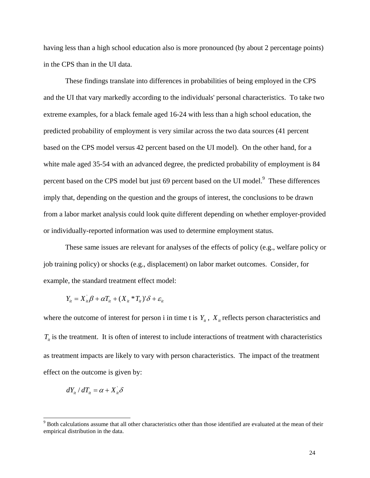having less than a high school education also is more pronounced (by about 2 percentage points) in the CPS than in the UI data.

 These findings translate into differences in probabilities of being employed in the CPS and the UI that vary markedly according to the individuals' personal characteristics. To take two extreme examples, for a black female aged 16-24 with less than a high school education, the predicted probability of employment is very similar across the two data sources (41 percent based on the CPS model versus 42 percent based on the UI model). On the other hand, for a white male aged 35-54 with an advanced degree, the predicted probability of employment is 84 percent based on the CPS model but just 69 percent based on the UI model.<sup>9</sup> These differences imply that, depending on the question and the groups of interest, the conclusions to be drawn from a labor market analysis could look quite different depending on whether employer-provided or individually-reported information was used to determine employment status.

 These same issues are relevant for analyses of the effects of policy (e.g., welfare policy or job training policy) or shocks (e.g., displacement) on labor market outcomes. Consider, for example, the standard treatment effect model:

$$
Y_{it} = X_{it}^{\dagger} \beta + \alpha T_{it} + (X_{it} * T_{it})^{\dagger} \delta + \varepsilon_{it}
$$

where the outcome of interest for person i in time t is  $Y_{it}$ ,  $X_{it}$  reflects person characteristics and  $T_{it}$  is the treatment. It is often of interest to include interactions of treatment with characteristics as treatment impacts are likely to vary with person characteristics. The impact of the treatment effect on the outcome is given by:

$$
dY_{it} / dT_{it} = \alpha + X_{it} \delta
$$

 $\overline{a}$ 

<sup>&</sup>lt;sup>9</sup> Both calculations assume that all other characteristics other than those identified are evaluated at the mean of their empirical distribution in the data.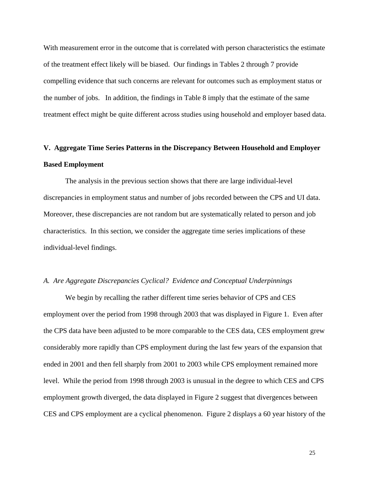With measurement error in the outcome that is correlated with person characteristics the estimate of the treatment effect likely will be biased. Our findings in Tables 2 through 7 provide compelling evidence that such concerns are relevant for outcomes such as employment status or the number of jobs. In addition, the findings in Table 8 imply that the estimate of the same treatment effect might be quite different across studies using household and employer based data.

# **V. Aggregate Time Series Patterns in the Discrepancy Between Household and Employer Based Employment**

The analysis in the previous section shows that there are large individual-level discrepancies in employment status and number of jobs recorded between the CPS and UI data. Moreover, these discrepancies are not random but are systematically related to person and job characteristics. In this section, we consider the aggregate time series implications of these individual-level findings.

#### *A. Are Aggregate Discrepancies Cyclical? Evidence and Conceptual Underpinnings*

We begin by recalling the rather different time series behavior of CPS and CES employment over the period from 1998 through 2003 that was displayed in Figure 1. Even after the CPS data have been adjusted to be more comparable to the CES data, CES employment grew considerably more rapidly than CPS employment during the last few years of the expansion that ended in 2001 and then fell sharply from 2001 to 2003 while CPS employment remained more level. While the period from 1998 through 2003 is unusual in the degree to which CES and CPS employment growth diverged, the data displayed in Figure 2 suggest that divergences between CES and CPS employment are a cyclical phenomenon. Figure 2 displays a 60 year history of the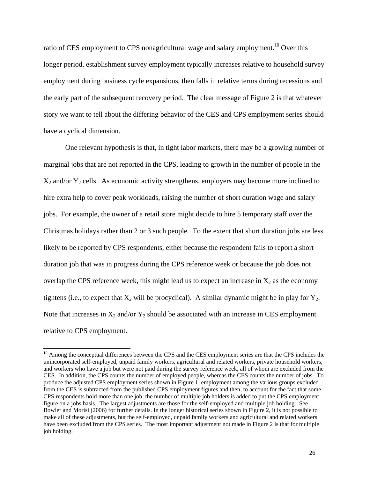ratio of CES employment to CPS nonagricultural wage and salary employment.<sup>10</sup> Over this longer period, establishment survey employment typically increases relative to household survey employment during business cycle expansions, then falls in relative terms during recessions and the early part of the subsequent recovery period. The clear message of Figure 2 is that whatever story we want to tell about the differing behavior of the CES and CPS employment series should have a cyclical dimension.

One relevant hypothesis is that, in tight labor markets, there may be a growing number of marginal jobs that are not reported in the CPS, leading to growth in the number of people in the  $X_2$  and/or  $Y_2$  cells. As economic activity strengthens, employers may become more inclined to hire extra help to cover peak workloads, raising the number of short duration wage and salary jobs. For example, the owner of a retail store might decide to hire 5 temporary staff over the Christmas holidays rather than 2 or 3 such people. To the extent that short duration jobs are less likely to be reported by CPS respondents, either because the respondent fails to report a short duration job that was in progress during the CPS reference week or because the job does not overlap the CPS reference week, this might lead us to expect an increase in  $X_2$  as the economy tightens (i.e., to expect that  $X_2$  will be procyclical). A similar dynamic might be in play for  $Y_2$ . Note that increases in  $X_2$  and/or  $Y_2$  should be associated with an increase in CES employment relative to CPS employment.

 $\overline{a}$ 

<sup>&</sup>lt;sup>10</sup> Among the conceptual differences between the CPS and the CES employment series are that the CPS includes the unincorporated self-employed, unpaid family workers, agricultural and related workers, private household workers, and workers who have a job but were not paid during the survey reference week, all of whom are excluded from the CES. In addition, the CPS counts the number of employed people, whereas the CES counts the number of jobs. To produce the adjusted CPS employment series shown in Figure 1, employment among the various groups excluded from the CES is subtracted from the published CPS employment figures and then, to account for the fact that some CPS respondents hold more than one job, the number of multiple job holders is added to put the CPS employment figure on a jobs basis. The largest adjustments are those for the self-employed and multiple job holding. See Bowler and Morisi (2006) for further details. In the longer historical series shown in Figure 2, it is not possible to make all of these adjustments, but the self-employed, unpaid family workers and agricultural and related workers have been excluded from the CPS series. The most important adjustment not made in Figure 2 is that for multiple job holding.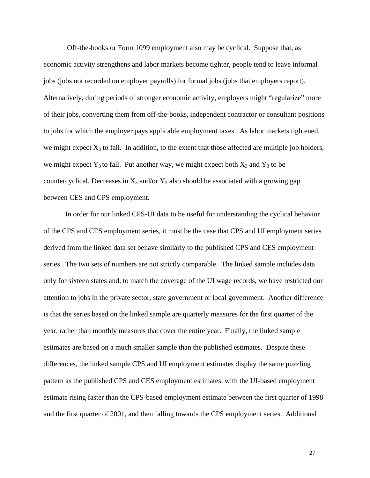Off-the-books or Form 1099 employment also may be cyclical. Suppose that, as economic activity strengthens and labor markets become tighter, people tend to leave informal jobs (jobs not recorded on employer payrolls) for formal jobs (jobs that employers report). Alternatively, during periods of stronger economic activity, employers might "regularize" more of their jobs, converting them from off-the-books, independent contractor or consultant positions to jobs for which the employer pays applicable employment taxes. As labor markets tightened, we might expect  $X_3$  to fall. In addition, to the extent that those affected are multiple job holders, we might expect  $Y_3$  to fall. Put another way, we might expect both  $X_3$  and  $Y_3$  to be countercyclical. Decreases in  $X_3$  and/or  $Y_3$  also should be associated with a growing gap between CES and CPS employment.

 In order for our linked CPS-UI data to be useful for understanding the cyclical behavior of the CPS and CES employment series, it must be the case that CPS and UI employment series derived from the linked data set behave similarly to the published CPS and CES employment series. The two sets of numbers are not strictly comparable. The linked sample includes data only for sixteen states and, to match the coverage of the UI wage records, we have restricted our attention to jobs in the private sector, state government or local government. Another difference is that the series based on the linked sample are quarterly measures for the first quarter of the year, rather than monthly measures that cover the entire year. Finally, the linked sample estimates are based on a much smaller sample than the published estimates. Despite these differences, the linked sample CPS and UI employment estimates display the same puzzling pattern as the published CPS and CES employment estimates, with the UI-based employment estimate rising faster than the CPS-based employment estimate between the first quarter of 1998 and the first quarter of 2001, and then falling towards the CPS employment series. Additional

27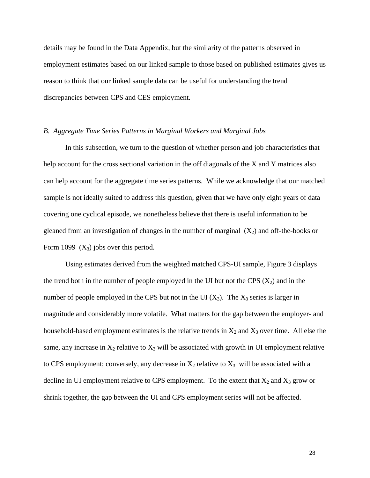details may be found in the Data Appendix, but the similarity of the patterns observed in employment estimates based on our linked sample to those based on published estimates gives us reason to think that our linked sample data can be useful for understanding the trend discrepancies between CPS and CES employment.

#### *B. Aggregate Time Series Patterns in Marginal Workers and Marginal Jobs*

In this subsection, we turn to the question of whether person and job characteristics that help account for the cross sectional variation in the off diagonals of the X and Y matrices also can help account for the aggregate time series patterns. While we acknowledge that our matched sample is not ideally suited to address this question, given that we have only eight years of data covering one cyclical episode, we nonetheless believe that there is useful information to be gleaned from an investigation of changes in the number of marginal  $(X_2)$  and off-the-books or Form 1099  $(X_3)$  jobs over this period.

 Using estimates derived from the weighted matched CPS-UI sample, Figure 3 displays the trend both in the number of people employed in the UI but not the CPS  $(X_2)$  and in the number of people employed in the CPS but not in the UI  $(X_3)$ . The  $X_3$  series is larger in magnitude and considerably more volatile. What matters for the gap between the employer- and household-based employment estimates is the relative trends in  $X_2$  and  $X_3$  over time. All else the same, any increase in  $X_2$  relative to  $X_3$  will be associated with growth in UI employment relative to CPS employment; conversely, any decrease in  $X_2$  relative to  $X_3$  will be associated with a decline in UI employment relative to CPS employment. To the extent that  $X_2$  and  $X_3$  grow or shrink together, the gap between the UI and CPS employment series will not be affected.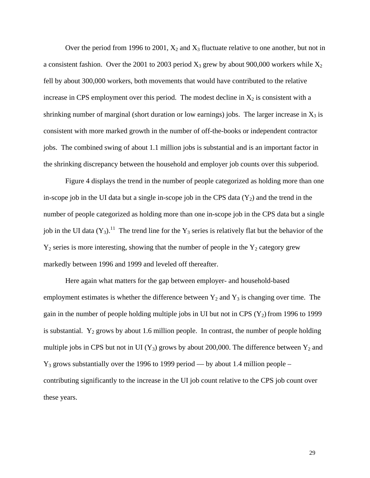Over the period from 1996 to 2001,  $X_2$  and  $X_3$  fluctuate relative to one another, but not in a consistent fashion. Over the 2001 to 2003 period  $X_3$  grew by about 900,000 workers while  $X_2$ fell by about 300,000 workers, both movements that would have contributed to the relative increase in CPS employment over this period. The modest decline in  $X_2$  is consistent with a shrinking number of marginal (short duration or low earnings) jobs. The larger increase in  $X_3$  is consistent with more marked growth in the number of off-the-books or independent contractor jobs. The combined swing of about 1.1 million jobs is substantial and is an important factor in the shrinking discrepancy between the household and employer job counts over this subperiod.

 Figure 4 displays the trend in the number of people categorized as holding more than one in-scope job in the UI data but a single in-scope job in the CPS data  $(Y_2)$  and the trend in the number of people categorized as holding more than one in-scope job in the CPS data but a single job in the UI data  $(Y_3)$ .<sup>11</sup> The trend line for the Y<sub>3</sub> series is relatively flat but the behavior of the  $Y_2$  series is more interesting, showing that the number of people in the  $Y_2$  category grew markedly between 1996 and 1999 and leveled off thereafter.

Here again what matters for the gap between employer- and household-based employment estimates is whether the difference between  $Y_2$  and  $Y_3$  is changing over time. The gain in the number of people holding multiple jobs in UI but not in CPS  $(Y_2)$  from 1996 to 1999 is substantial.  $Y_2$  grows by about 1.6 million people. In contrast, the number of people holding multiple jobs in CPS but not in UI ( $Y_3$ ) grows by about 200,000. The difference between  $Y_2$  and  $Y_3$  grows substantially over the 1996 to 1999 period — by about 1.4 million people – contributing significantly to the increase in the UI job count relative to the CPS job count over these years.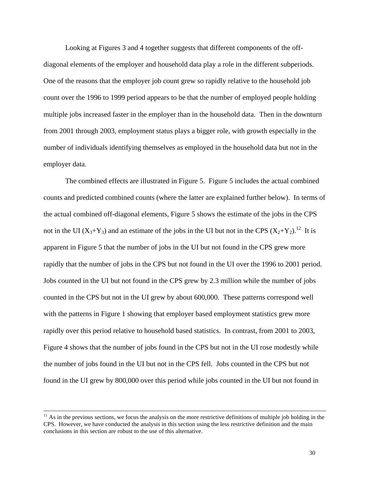Looking at Figures 3 and 4 together suggests that different components of the offdiagonal elements of the employer and household data play a role in the different subperiods. One of the reasons that the employer job count grew so rapidly relative to the household job count over the 1996 to 1999 period appears to be that the number of employed people holding multiple jobs increased faster in the employer than in the household data. Then in the downturn from 2001 through 2003, employment status plays a bigger role, with growth especially in the number of individuals identifying themselves as employed in the household data but not in the employer data.

The combined effects are illustrated in Figure 5. Figure 5 includes the actual combined counts and predicted combined counts (where the latter are explained further below). In terms of the actual combined off-diagonal elements, Figure 5 shows the estimate of the jobs in the CPS not in the UI  $(X_3+Y_3)$  and an estimate of the jobs in the UI but not in the CPS  $(X_2+Y_2)$ .<sup>12</sup> It is apparent in Figure 5 that the number of jobs in the UI but not found in the CPS grew more rapidly that the number of jobs in the CPS but not found in the UI over the 1996 to 2001 period. Jobs counted in the UI but not found in the CPS grew by 2.3 million while the number of jobs counted in the CPS but not in the UI grew by about 600,000. These patterns correspond well with the patterns in Figure 1 showing that employer based employment statistics grew more rapidly over this period relative to household based statistics. In contrast, from 2001 to 2003, Figure 4 shows that the number of jobs found in the CPS but not in the UI rose modestly while the number of jobs found in the UI but not in the CPS fell. Jobs counted in the CPS but not found in the UI grew by 800,000 over this period while jobs counted in the UI but not found in

 $11$  As in the previous sections, we focus the analysis on the more restrictive definitions of multiple job holding in the CPS. However, we have conducted the analysis in this section using the less restrictive definition and the main conclusions in this section are robust to the use of this alternative.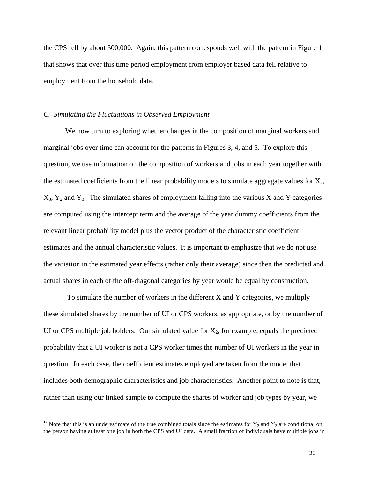the CPS fell by about 500,000. Again, this pattern corresponds well with the pattern in Figure 1 that shows that over this time period employment from employer based data fell relative to employment from the household data.

## *C. Simulating the Fluctuations in Observed Employment*

We now turn to exploring whether changes in the composition of marginal workers and marginal jobs over time can account for the patterns in Figures 3, 4, and 5. To explore this question, we use information on the composition of workers and jobs in each year together with the estimated coefficients from the linear probability models to simulate aggregate values for  $X_2$ ,  $X_3$ ,  $Y_2$  and  $Y_3$ . The simulated shares of employment falling into the various X and Y categories are computed using the intercept term and the average of the year dummy coefficients from the relevant linear probability model plus the vector product of the characteristic coefficient estimates and the annual characteristic values. It is important to emphasize that we do not use the variation in the estimated year effects (rather only their average) since then the predicted and actual shares in each of the off-diagonal categories by year would be equal by construction.

 To simulate the number of workers in the different X and Y categories, we multiply these simulated shares by the number of UI or CPS workers, as appropriate, or by the number of UI or CPS multiple job holders. Our simulated value for  $X_2$ , for example, equals the predicted probability that a UI worker is not a CPS worker times the number of UI workers in the year in question. In each case, the coefficient estimates employed are taken from the model that includes both demographic characteristics and job characteristics. Another point to note is that, rather than using our linked sample to compute the shares of worker and job types by year, we

<sup>&</sup>lt;sup>12</sup> Note that this is an underestimate of the true combined totals since the estimates for  $Y_2$  and  $Y_3$  are conditional on the person having at least one job in both the CPS and UI data. A small fraction of individuals have multiple jobs in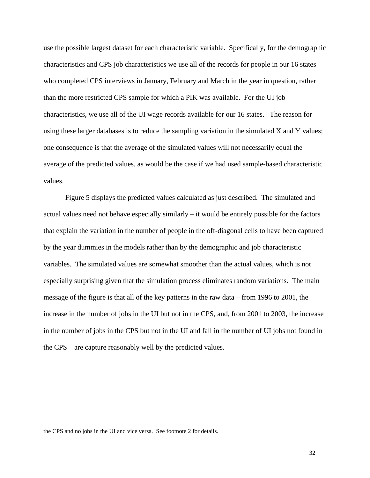use the possible largest dataset for each characteristic variable. Specifically, for the demographic characteristics and CPS job characteristics we use all of the records for people in our 16 states who completed CPS interviews in January, February and March in the year in question, rather than the more restricted CPS sample for which a PIK was available. For the UI job characteristics, we use all of the UI wage records available for our 16 states. The reason for using these larger databases is to reduce the sampling variation in the simulated X and Y values; one consequence is that the average of the simulated values will not necessarily equal the average of the predicted values, as would be the case if we had used sample-based characteristic values.

Figure 5 displays the predicted values calculated as just described. The simulated and actual values need not behave especially similarly – it would be entirely possible for the factors that explain the variation in the number of people in the off-diagonal cells to have been captured by the year dummies in the models rather than by the demographic and job characteristic variables. The simulated values are somewhat smoother than the actual values, which is not especially surprising given that the simulation process eliminates random variations. The main message of the figure is that all of the key patterns in the raw data – from 1996 to 2001, the increase in the number of jobs in the UI but not in the CPS, and, from 2001 to 2003, the increase in the number of jobs in the CPS but not in the UI and fall in the number of UI jobs not found in the CPS – are capture reasonably well by the predicted values.

 $\overline{a}$ 

the CPS and no jobs in the UI and vice versa. See footnote 2 for details.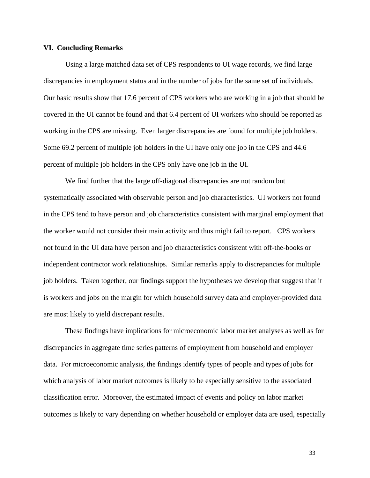### **VI. Concluding Remarks**

 Using a large matched data set of CPS respondents to UI wage records, we find large discrepancies in employment status and in the number of jobs for the same set of individuals. Our basic results show that 17.6 percent of CPS workers who are working in a job that should be covered in the UI cannot be found and that 6.4 percent of UI workers who should be reported as working in the CPS are missing. Even larger discrepancies are found for multiple job holders. Some 69.2 percent of multiple job holders in the UI have only one job in the CPS and 44.6 percent of multiple job holders in the CPS only have one job in the UI.

 We find further that the large off-diagonal discrepancies are not random but systematically associated with observable person and job characteristics. UI workers not found in the CPS tend to have person and job characteristics consistent with marginal employment that the worker would not consider their main activity and thus might fail to report. CPS workers not found in the UI data have person and job characteristics consistent with off-the-books or independent contractor work relationships. Similar remarks apply to discrepancies for multiple job holders. Taken together, our findings support the hypotheses we develop that suggest that it is workers and jobs on the margin for which household survey data and employer-provided data are most likely to yield discrepant results.

These findings have implications for microeconomic labor market analyses as well as for discrepancies in aggregate time series patterns of employment from household and employer data. For microeconomic analysis, the findings identify types of people and types of jobs for which analysis of labor market outcomes is likely to be especially sensitive to the associated classification error. Moreover, the estimated impact of events and policy on labor market outcomes is likely to vary depending on whether household or employer data are used, especially

33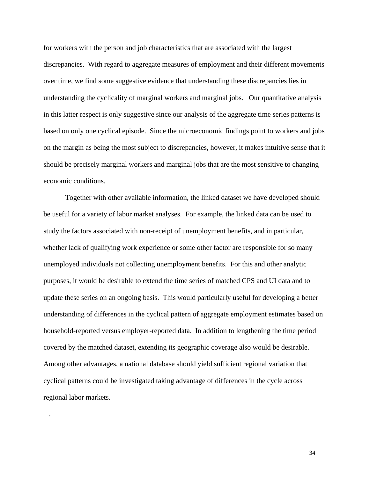for workers with the person and job characteristics that are associated with the largest discrepancies. With regard to aggregate measures of employment and their different movements over time, we find some suggestive evidence that understanding these discrepancies lies in understanding the cyclicality of marginal workers and marginal jobs. Our quantitative analysis in this latter respect is only suggestive since our analysis of the aggregate time series patterns is based on only one cyclical episode. Since the microeconomic findings point to workers and jobs on the margin as being the most subject to discrepancies, however, it makes intuitive sense that it should be precisely marginal workers and marginal jobs that are the most sensitive to changing economic conditions.

Together with other available information, the linked dataset we have developed should be useful for a variety of labor market analyses. For example, the linked data can be used to study the factors associated with non-receipt of unemployment benefits, and in particular, whether lack of qualifying work experience or some other factor are responsible for so many unemployed individuals not collecting unemployment benefits. For this and other analytic purposes, it would be desirable to extend the time series of matched CPS and UI data and to update these series on an ongoing basis. This would particularly useful for developing a better understanding of differences in the cyclical pattern of aggregate employment estimates based on household-reported versus employer-reported data. In addition to lengthening the time period covered by the matched dataset, extending its geographic coverage also would be desirable. Among other advantages, a national database should yield sufficient regional variation that cyclical patterns could be investigated taking advantage of differences in the cycle across regional labor markets.

.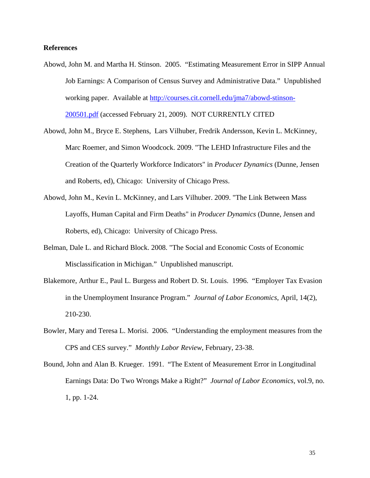## **References**

- Abowd, John M. and Martha H. Stinson. 2005. "Estimating Measurement Error in SIPP Annual Job Earnings: A Comparison of Census Survey and Administrative Data." Unpublished working paper. Available at http://courses.cit.cornell.edu/jma7/abowd-stinson-200501.pdf (accessed February 21, 2009). NOT CURRENTLY CITED
- Abowd, John M., Bryce E. Stephens, Lars Vilhuber, Fredrik Andersson, Kevin L. McKinney, Marc Roemer, and Simon Woodcock. 2009. "The LEHD Infrastructure Files and the Creation of the Quarterly Workforce Indicators" in *Producer Dynamics* (Dunne, Jensen and Roberts, ed), Chicago: University of Chicago Press.
- Abowd, John M., Kevin L. McKinney, and Lars Vilhuber. 2009. "The Link Between Mass Layoffs, Human Capital and Firm Deaths" in *Producer Dynamics* (Dunne, Jensen and Roberts, ed), Chicago: University of Chicago Press.
- Belman, Dale L. and Richard Block. 2008. "The Social and Economic Costs of Economic Misclassification in Michigan." Unpublished manuscript.
- Blakemore, Arthur E., Paul L. Burgess and Robert D. St. Louis. 1996. "Employer Tax Evasion in the Unemployment Insurance Program." *Journal of Labor Economics*, April, 14(2), 210-230.
- Bowler, Mary and Teresa L. Morisi. 2006. "Understanding the employment measures from the CPS and CES survey." *Monthly Labor Review*, February, 23-38.
- Bound, John and Alan B. Krueger. 1991. "The Extent of Measurement Error in Longitudinal Earnings Data: Do Two Wrongs Make a Right?" *Journal of Labor Economics*, vol.9, no. 1, pp. 1-24.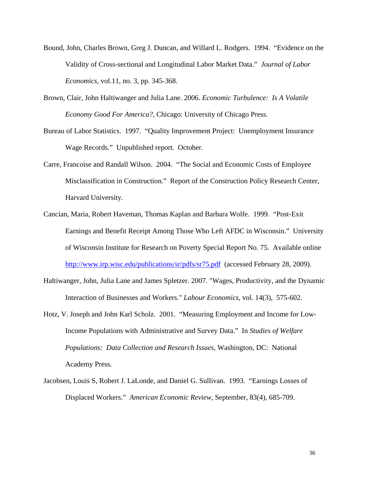- Bound, John, Charles Brown, Greg J. Duncan, and Willard L. Rodgers. 1994. "Evidence on the Validity of Cross-sectional and Longitudinal Labor Market Data." *Journal of Labor Economics*, vol.11, no. 3, pp. 345-368.
- Brown, Clair, John Haltiwanger and Julia Lane. 2006. *Economic Turbulence: Is A Volatile Economy Good For America?*, Chicago: University of Chicago Press.
- Bureau of Labor Statistics. 1997. "Quality Improvement Project: Unemployment Insurance Wage Records." Unpublished report. October.
- Carre, Francoise and Randall Wilson. 2004. "The Social and Economic Costs of Employee Misclassification in Construction." Report of the Construction Policy Research Center, Harvard University.
- Cancian, Maria, Robert Haveman, Thomas Kaplan and Barbara Wolfe. 1999. "Post-Exit Earnings and Benefit Receipt Among Those Who Left AFDC in Wisconsin." University of Wisconsin Institute for Research on Poverty Special Report No. 75. Available online http://www.irp.wisc.edu/publications/sr/pdfs/sr75.pdf (accessed February 28, 2009).
- Haltiwanger, John, Julia Lane and James Spletzer. 2007. "Wages, Productivity, and the Dynamic Interaction of Businesses and Workers." *Labour Economics,* vol. 14(3), 575-602.
- Hotz, V. Joseph and John Karl Scholz. 2001. "Measuring Employment and Income for Low-Income Populations with Administrative and Survey Data." In *Studies of Welfare Populations: Data Collection and Research Issues*, Washington, DC: National Academy Press.
- Jacobsen, Louis S, Robert J. LaLonde, and Daniel G. Sullivan. 1993. "Earnings Losses of Displaced Workers." *American Economic Review*, September, 83(4), 685-709.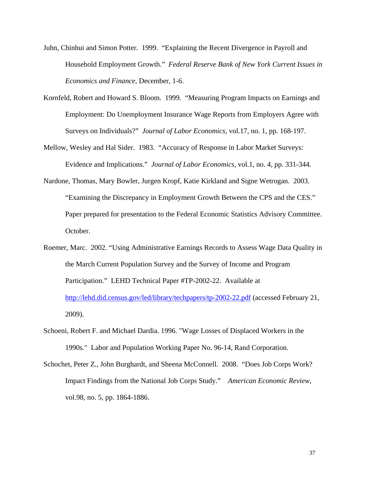- Juhn, Chinhui and Simon Potter. 1999. "Explaining the Recent Divergence in Payroll and Household Employment Growth." *Federal Reserve Bank of New York Current Issues in Economics and Finance*, December, 1-6.
- Kornfeld, Robert and Howard S. Bloom. 1999. "Measuring Program Impacts on Earnings and Employment: Do Unemployment Insurance Wage Reports from Employers Agree with Surveys on Individuals?" *Journal of Labor Economics*, vol.17, no. 1, pp. 168-197.
- Mellow, Wesley and Hal Sider. 1983. "Accuracy of Response in Labor Market Surveys: Evidence and Implications." *Journal of Labor Economics*, vol.1, no. 4, pp. 331-344.
- Nardone, Thomas, Mary Bowler, Jurgen Kropf, Katie Kirkland and Signe Wetrogan. 2003. "Examining the Discrepancy in Employment Growth Between the CPS and the CES." Paper prepared for presentation to the Federal Economic Statistics Advisory Committee. October.
- Roemer, Marc. 2002. "Using Administrative Earnings Records to Assess Wage Data Quality in the March Current Population Survey and the Survey of Income and Program Participation." LEHD Technical Paper #TP-2002-22. Available at http://lehd.did.census.gov/led/library/techpapers/tp-2002-22.pdf (accessed February 21, 2009).
- Schoeni, Robert F. and Michael Dardia. 1996. "Wage Losses of Displaced Workers in the 1990s." Labor and Population Working Paper No. 96-14, Rand Corporation.
- Schochet, Peter Z., John Burghardt, and Sheena McConnell. 2008. "Does Job Corps Work? Impact Findings from the National Job Corps Study." *American Economic Review*, vol.98, no. 5, pp. 1864-1886.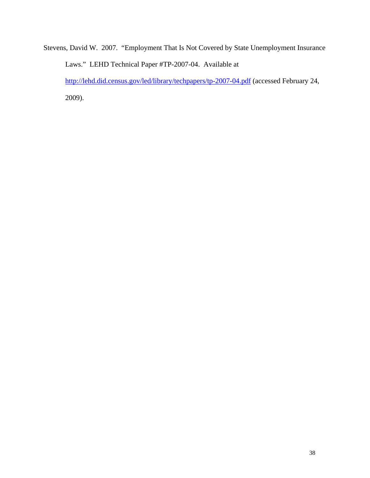Stevens, David W. 2007. "Employment That Is Not Covered by State Unemployment Insurance Laws." LEHD Technical Paper #TP-2007-04. Available at http://lehd.did.census.gov/led/library/techpapers/tp-2007-04.pdf (accessed February 24, 2009).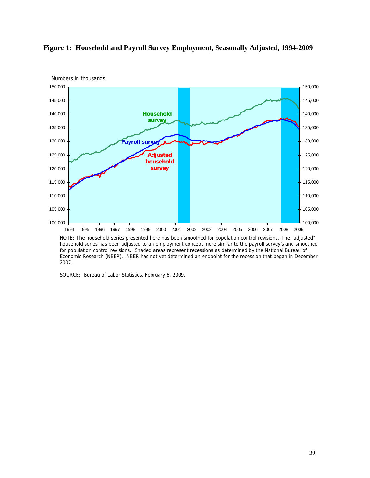

# **Figure 1: Household and Payroll Survey Employment, Seasonally Adjusted, 1994-2009**

SOURCE: Bureau of Labor Statistics, February 6, 2009.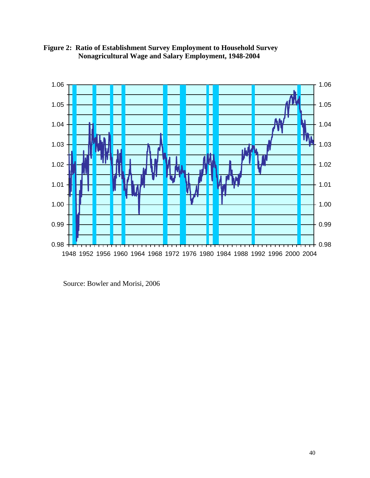

**Figure 2: Ratio of Establishment Survey Employment to Household Survey Nonagricultural Wage and Salary Employment, 1948-2004** 

Source: Bowler and Morisi, 2006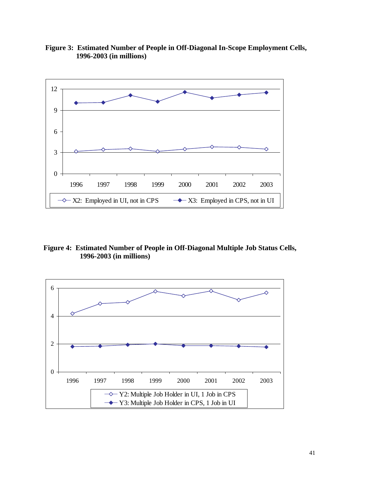

 **Figure 3: Estimated Number of People in Off-Diagonal In-Scope Employment Cells, 1996-2003 (in millions)** 

**Figure 4: Estimated Number of People in Off-Diagonal Multiple Job Status Cells, 1996-2003 (in millions)** 

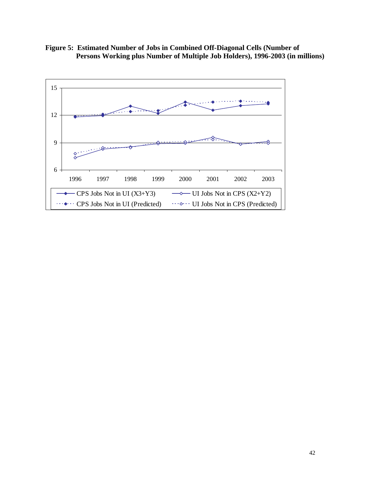**Figure 5: Estimated Number of Jobs in Combined Off-Diagonal Cells (Number of Persons Working plus Number of Multiple Job Holders), 1996-2003 (in millions)** 

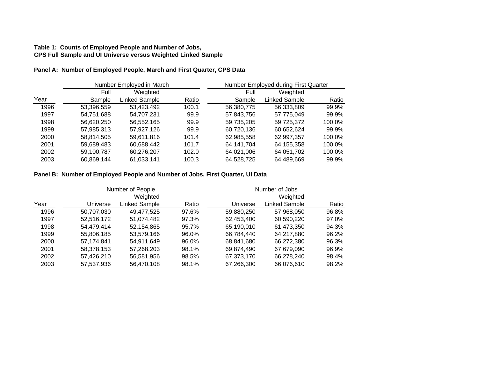# **Table 1: Counts of Employed People and Number of Jobs, CPS Full Sample and UI Universe versus Weighted Linked Sample**

# **Panel A: Number of Employed People, March and First Quarter, CPS Data**

|      | Number Employed in March |               |       | Number Employed during First Quarter |               |        |
|------|--------------------------|---------------|-------|--------------------------------------|---------------|--------|
|      | Full                     | Weighted      |       | Full                                 | Weighted      |        |
| Year | Sample                   | Linked Sample | Ratio | Sample                               | Linked Sample | Ratio  |
| 1996 | 53,396,559               | 53,423,492    | 100.1 | 56,380,775                           | 56,333,809    | 99.9%  |
| 1997 | 54.751.688               | 54.707.231    | 99.9  | 57,843,756                           | 57.775.049    | 99.9%  |
| 1998 | 56,620,250               | 56,552,165    | 99.9  | 59,735,205                           | 59,725,372    | 100.0% |
| 1999 | 57,985,313               | 57,927,126    | 99.9  | 60,720,136                           | 60,652,624    | 99.9%  |
| 2000 | 58,814,505               | 59,611,816    | 101.4 | 62,985,558                           | 62,997,357    | 100.0% |
| 2001 | 59,689,483               | 60,688,442    | 101.7 | 64.141.704                           | 64,155,358    | 100.0% |
| 2002 | 59,100,787               | 60,276,207    | 102.0 | 64,021,006                           | 64,051,702    | 100.0% |
| 2003 | 60,869,144               | 61,033,141    | 100.3 | 64,528,725                           | 64.489.669    | 99.9%  |

# **Panel B: Number of Employed People and Number of Jobs, First Quarter, UI Data**

|      | Number of People |               | Number of Jobs |            |               |       |
|------|------------------|---------------|----------------|------------|---------------|-------|
|      |                  | Weighted      |                |            | Weighted      |       |
| Year | Universe         | Linked Sample | Ratio          | Universe   | Linked Sample | Ratio |
| 1996 | 50,707,030       | 49,477,525    | 97.6%          | 59,880,250 | 57,968,050    | 96.8% |
| 1997 | 52.516.172       | 51,074,482    | 97.3%          | 62,453,400 | 60,590,220    | 97.0% |
| 1998 | 54,479,414       | 52,154,865    | 95.7%          | 65,190,010 | 61,473,350    | 94.3% |
| 1999 | 55,806,185       | 53,579,166    | 96.0%          | 66,784,440 | 64.217.880    | 96.2% |
| 2000 | 57,174,841       | 54.911.649    | 96.0%          | 68,841,680 | 66,272,380    | 96.3% |
| 2001 | 58,378,153       | 57,268,203    | 98.1%          | 69,874,490 | 67,679,090    | 96.9% |
| 2002 | 57.426.210       | 56,581,956    | 98.5%          | 67,373,170 | 66.278.240    | 98.4% |
| 2003 | 57,537,936       | 56,470,108    | 98.1%          | 67,266,300 | 66,076,610    | 98.2% |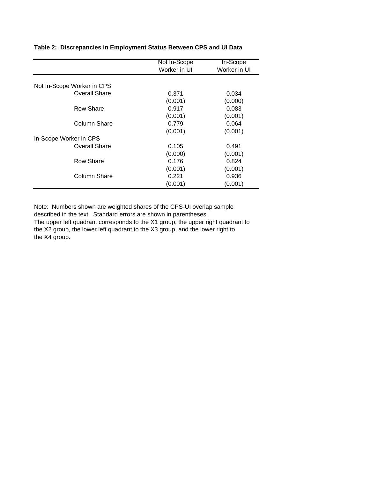|                            | Not In-Scope | In-Scope     |
|----------------------------|--------------|--------------|
|                            | Worker in UI | Worker in UI |
| Not In-Scope Worker in CPS |              |              |
| Overall Share              | 0.371        | 0.034        |
|                            | (0.001)      | (0.000)      |
| Row Share                  | 0.917        | 0.083        |
|                            | (0.001)      | (0.001)      |
| Column Share               | 0.779        | 0.064        |
|                            | (0.001)      | (0.001)      |
| In-Scope Worker in CPS     |              |              |
| <b>Overall Share</b>       | 0.105        | 0.491        |
|                            | (0.000)      | (0.001)      |
| Row Share                  | 0.176        | 0.824        |
|                            | (0.001)      | (0.001)      |
| Column Share               | 0.221        | 0.936        |
|                            | (0.001)      | (0.001)      |

**Table 2: Discrepancies in Employment Status Between CPS and UI Data**

Note: Numbers shown are weighted shares of the CPS-UI overlap sample described in the text. Standard errors are shown in parentheses.

The upper left quadrant corresponds to the X1 group, the upper right quadrant to the X2 group, the lower left quadrant to the X3 group, and the lower right to the X4 group.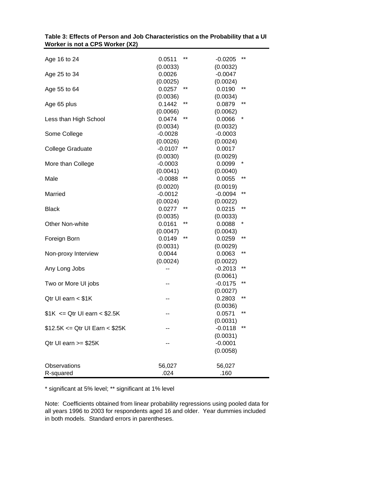| Age 16 to 24                                                |       |
|-------------------------------------------------------------|-------|
| (0.0033)<br>(0.0032)<br>0.0026<br>$-0.0047$<br>Age 25 to 34 |       |
| (0.0025)<br>(0.0024)                                        |       |
| $***$<br>Age 55 to 64<br>0.0257<br>0.0190                   | **    |
| (0.0034)<br>(0.0036)                                        |       |
| **<br>Age 65 plus<br>0.1442<br>0.0879                       | **    |
| (0.0066)<br>(0.0062)                                        |       |
| $***$<br>Less than High School<br>0.0474<br>0.0066          | *     |
| (0.0034)<br>(0.0032)                                        |       |
| $-0.0028$<br>Some College<br>$-0.0003$                      |       |
| (0.0026)<br>(0.0024)                                        |       |
| $-0.0107$<br>**<br>0.0017<br><b>College Graduate</b>        |       |
| (0.0030)<br>(0.0029)                                        |       |
| $-0.0003$<br>0.0099<br>More than College                    | *     |
| (0.0041)<br>(0.0040)                                        |       |
| $-0.0088$<br>$***$<br>0.0055<br>Male                        | **    |
| (0.0020)<br>(0.0019)                                        |       |
| $-0.0012$<br>$-0.0094$<br>Married                           | **    |
| (0.0024)<br>(0.0022)                                        |       |
| 0.0277<br>**<br>0.0215<br><b>Black</b>                      | $***$ |
| (0.0033)<br>(0.0035)                                        |       |
| Other Non-white<br>**<br>0.0161<br>0.0088                   | *     |
| (0.0047)<br>(0.0043)                                        |       |
| **<br>0.0149<br>0.0259<br>Foreign Born                      | **    |
| (0.0031)<br>(0.0029)                                        |       |
| 0.0044<br>0.0063<br>Non-proxy Interview                     | **    |
| (0.0024)<br>(0.0022)                                        |       |
| $-0.2013$<br>Any Long Jobs                                  | **    |
| (0.0061)                                                    | **    |
| $-0.0175$<br>Two or More UI jobs                            |       |
| (0.0027)                                                    | $***$ |
| Qtr UI earn < \$1K<br>0.2803                                |       |
| (0.0036)                                                    | **    |
| $$1K < = Qtr U$ earn < \$2.5K<br>0.0571                     |       |
| (0.0031)                                                    | **    |
| $$12.5K \le Q$ tr UI Earn < \$25K<br>$-0.0118$<br>(0.0031)  |       |
| $-0.0001$<br>Qtr UI earn >= \$25K                           |       |
| (0.0058)                                                    |       |
|                                                             |       |
| Observations<br>56,027<br>56,027                            |       |
| .024<br>R-squared<br>.160                                   |       |

|                                 | Table 3: Effects of Person and Job Characteristics on the Probability that a UI |
|---------------------------------|---------------------------------------------------------------------------------|
| Worker is not a CPS Worker (X2) |                                                                                 |

\* significant at 5% level; \*\* significant at 1% level

Note: Coefficients obtained from linear probability regressions using pooled data for all years 1996 to 2003 for respondents aged 16 and older. Year dummies included in both models. Standard errors in parentheses.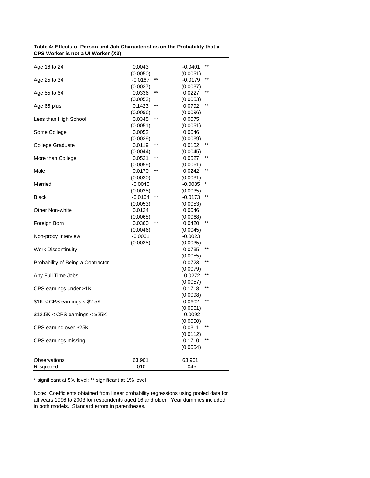| Table 4: Effects of Person and Job Characteristics on the Probability that a |
|------------------------------------------------------------------------------|
| CPS Worker is not a UI Worker (X3)                                           |

| Age 16 to 24                       | 0.0043                                | $***$<br>$-0.0401$                    |
|------------------------------------|---------------------------------------|---------------------------------------|
| Age 25 to 34                       | (0.0050)<br>**<br>$-0.0167$           | (0.0051)<br>$***$<br>$-0.0179$        |
| Age 55 to 64                       | (0.0037)<br>$***$<br>0.0336           | (0.0037)<br>$***$<br>0.0227           |
| Age 65 plus                        | (0.0053)<br>$***$<br>0.1423           | (0.0053)<br>$***$<br>0.0792           |
| Less than High School              | (0.0096)<br>$^{\star\star}$<br>0.0345 | (0.0096)<br>0.0075                    |
| Some College                       | (0.0051)<br>0.0052                    | (0.0051)<br>0.0046                    |
| College Graduate                   | (0.0039)<br>$***$<br>0.0119           | (0.0039)<br>$***$<br>0.0152           |
| More than College                  | (0.0044)<br>$***$<br>0.0521           | (0.0045)<br>$^{\star\star}$<br>0.0527 |
| Male                               | (0.0059)<br>$***$<br>0.0170           | (0.0061)<br>$***$<br>0.0242           |
| Married                            | (0.0030)<br>$-0.0040$                 | (0.0031)<br>$-0.0085$                 |
| <b>Black</b>                       | (0.0035)<br>**<br>$-0.0164$           | (0.0035)<br>$***$<br>$-0.0173$        |
| Other Non-white                    | (0.0053)<br>0.0124                    | (0.0053)<br>0.0046                    |
| Foreign Born                       | (0.0068)<br>0.0360                    | (0.0068)<br>0.0420                    |
| Non-proxy Interview                | (0.0046)<br>$-0.0061$                 | (0.0045)<br>$-0.0023$                 |
| <b>Work Discontinuity</b>          | (0.0035)<br>--                        | (0.0035)<br>$^{\star\star}$<br>0.0735 |
| Probability of Being a Contractor  |                                       | (0.0055)<br>$***$<br>0.0723           |
| Any Full Time Jobs                 |                                       | (0.0079)<br>$***$<br>$-0.0272$        |
|                                    |                                       | (0.0057)<br>$***$                     |
| CPS earnings under \$1K            |                                       | 0.1718<br>(0.0098)<br>$**$            |
| $\$1K <$ CPS earnings $<$ $\$2.5K$ |                                       | 0.0602<br>(0.0061)                    |
| $$12.5K <$ CPS earnings $<$ \$25K  |                                       | $-0.0092$<br>(0.0050)                 |
| CPS earning over \$25K             |                                       | $***$<br>0.0311<br>(0.0112)           |
| CPS earnings missing               |                                       | 0.1710<br>(0.0054)                    |
| Observations<br>R-squared          | 63,901<br>.010                        | 63,901<br>.045                        |

\* significant at 5% level; \*\* significant at 1% level

Note: Coefficients obtained from linear probability regressions using pooled data for all years 1996 to 2003 for respondents aged 16 and older. Year dummies included in both models. Standard errors in parentheses.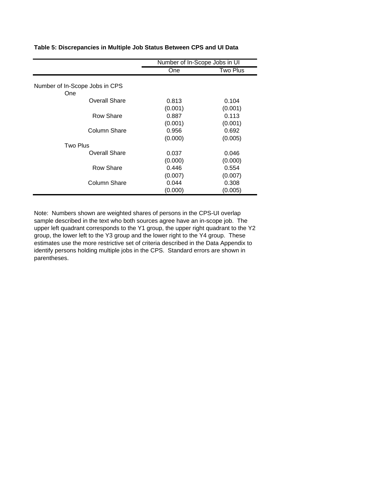|                                       | Number of In-Scope Jobs in UI |                  |
|---------------------------------------|-------------------------------|------------------|
|                                       | One                           | Two Plus         |
| Number of In-Scope Jobs in CPS<br>One |                               |                  |
| Overall Share                         | 0.813<br>(0.001)              | 0.104<br>(0.001) |
| Row Share                             | 0.887<br>(0.001)              | 0.113<br>(0.001) |
| Column Share                          | 0.956<br>(0.000)              | 0.692<br>(0.005) |
| <b>Two Plus</b>                       |                               |                  |
| Overall Share                         | 0.037<br>(0.000)              | 0.046<br>(0.000) |
| Row Share                             | 0.446<br>(0.007)              | 0.554<br>(0.007) |
| Column Share                          | 0.044<br>(0.000)              | 0.308<br>(0.005) |

**Table 5: Discrepancies in Multiple Job Status Between CPS and UI Data**

Note: Numbers shown are weighted shares of persons in the CPS-UI overlap sample described in the text who both sources agree have an in-scope job. The upper left quadrant corresponds to the Y1 group, the upper right quadrant to the Y2 group, the lower left to the Y3 group and the lower right to the Y4 group. These estimates use the more restrictive set of criteria described in the Data Appendix to identify persons holding multiple jobs in the CPS. Standard errors are shown in parentheses.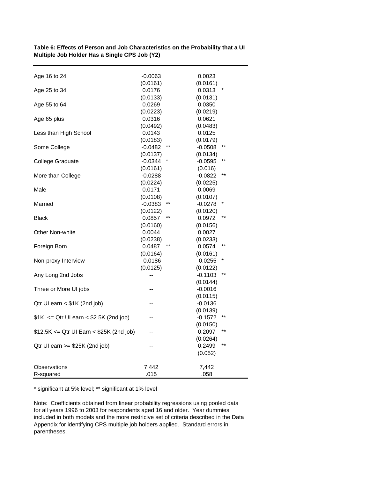| Age 16 to 24                              | $-0.0063$ |       | 0.0023    |                 |
|-------------------------------------------|-----------|-------|-----------|-----------------|
|                                           | (0.0161)  |       | (0.0161)  |                 |
| Age 25 to 34                              | 0.0176    |       | 0.0313    |                 |
|                                           | (0.0133)  |       | (0.0131)  |                 |
| Age 55 to 64                              | 0.0269    |       | 0.0350    |                 |
|                                           | (0.0223)  |       | (0.0219)  |                 |
| Age 65 plus                               | 0.0316    |       | 0.0621    |                 |
|                                           | (0.0492)  |       | (0.0483)  |                 |
| Less than High School                     | 0.0143    |       | 0.0125    |                 |
|                                           | (0.0183)  |       | (0.0179)  |                 |
| Some College                              | $-0.0482$ | **    | $-0.0508$ | $^{\star\star}$ |
|                                           | (0.0137)  |       | (0.0134)  |                 |
| College Graduate                          | $-0.0344$ |       | $-0.0595$ | **              |
|                                           | (0.0161)  |       | (0.016)   |                 |
| More than College                         | $-0.0288$ |       | $-0.0822$ | $***$           |
|                                           | (0.0224)  |       | (0.0225)  |                 |
| Male                                      | 0.0171    |       | 0.0069    |                 |
|                                           | (0.0108)  |       | (0.0107)  |                 |
| Married                                   | $-0.0383$ | **    | $-0.0278$ | *               |
|                                           | (0.0122)  |       | (0.0120)  |                 |
| Black                                     | 0.0857    | $***$ | 0.0972    | $***$           |
|                                           | (0.0160)  |       | (0.0156)  |                 |
| Other Non-white                           | 0.0044    |       | 0.0027    |                 |
|                                           | (0.0238)  |       | (0.0233)  |                 |
| Foreign Born                              | 0.0487    | **    | 0.0574    | $***$           |
|                                           | (0.0164)  |       | (0.0161)  |                 |
| Non-proxy Interview                       | $-0.0186$ |       | $-0.0255$ | *               |
|                                           | (0.0125)  |       | (0.0122)  |                 |
| Any Long 2nd Jobs                         |           |       | $-0.1103$ | $***$           |
|                                           |           |       | (0.0144)  |                 |
| Three or More UI jobs                     |           |       | $-0.0016$ |                 |
|                                           |           |       | (0.0115)  |                 |
| Qtr UI earn $<$ \$1K (2nd job)            |           |       | $-0.0136$ |                 |
|                                           |           |       | (0.0139)  |                 |
| $$1K \le Q$ tr UI earn < \$2.5K (2nd job) |           |       | $-0.1572$ | **              |
|                                           |           |       | (0.0150)  |                 |
| \$12.5K <= Qtr UI Earn < \$25K (2nd job)  |           |       | 0.2097    | **              |
|                                           |           |       | (0.0264)  |                 |
| Qtr UI earn $>= $25K (2nd job)$           |           |       | 0.2499    | $***$           |
|                                           |           |       | (0.052)   |                 |
|                                           |           |       |           |                 |
| Observations                              | 7,442     |       | 7,442     |                 |
| R-squared                                 | .015      |       | .058      |                 |

**Table 6: Effects of Person and Job Characteristics on the Probability that a UI Multiple Job Holder Has a Single CPS Job (Y2)** 

\* significant at 5% level; \*\* significant at 1% level

Note: Coefficients obtained from linear probability regressions using pooled data for all years 1996 to 2003 for respondents aged 16 and older. Year dummies included in both models and the more restricive set of criteria described in the Data Appendix for identifying CPS multiple job holders applied. Standard errors in parentheses.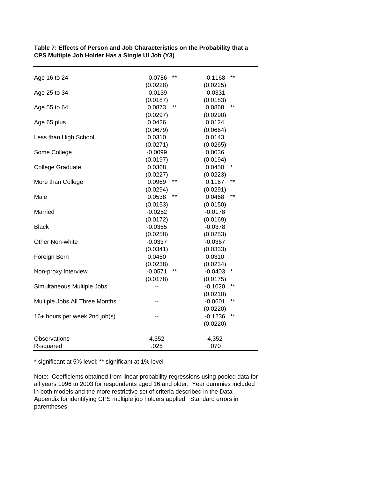| Age 16 to 24                   | $***$<br>$-0.0786$ | $***$<br>$-0.1168$ |
|--------------------------------|--------------------|--------------------|
|                                | (0.0228)           | (0.0225)           |
| Age 25 to 34                   | $-0.0139$          | $-0.0331$          |
|                                | (0.0187)           | (0.0183)           |
| Age 55 to 64                   | $***$<br>0.0873    | $***$<br>0.0868    |
|                                | (0.0297)           | (0.0290)           |
| Age 65 plus                    | 0.0426             | 0.0124             |
|                                | (0.0679)           | (0.0664)           |
| Less than High School          | 0.0310             | 0.0143             |
|                                | (0.0271)           | (0.0265)           |
| Some College                   | $-0.0099$          | 0.0036             |
|                                | (0.0197)           | (0.0194)           |
| <b>College Graduate</b>        | 0.0368             | 0.0450             |
|                                | (0.0227)           | (0.0223)           |
| More than College              | **<br>0.0969       | **<br>0.1167       |
|                                | (0.0294)           | (0.0291)           |
| Male                           | **<br>0.0538       | $***$<br>0.0468    |
|                                | (0.0153)           | (0.0150)           |
| Married                        | $-0.0252$          | $-0.0178$          |
|                                | (0.0172)           | (0.0169)           |
| <b>Black</b>                   | $-0.0365$          | $-0.0378$          |
|                                | (0.0258)           | (0.0253)           |
| Other Non-white                | $-0.0337$          | $-0.0367$          |
|                                | (0.0341)           | (0.0333)           |
| Foreign Born                   | 0.0450             | 0.0310             |
|                                | (0.0238)           | (0.0234)           |
| Non-proxy Interview            | $-0.0571$<br>**    | $-0.0403$<br>*     |
|                                | (0.0178)           | (0.0175)           |
| Simultaneous Multiple Jobs     |                    | $***$<br>$-0.1020$ |
|                                |                    | (0.0210)           |
| Multiple Jobs All Three Months |                    | $***$<br>$-0.0601$ |
|                                |                    | (0.0220)           |
| 16+ hours per week 2nd job(s)  |                    | $***$<br>$-0.1236$ |
|                                |                    | (0.0220)           |
|                                |                    |                    |
| Observations                   | 4,352              | 4,352              |
| R-squared                      | .025               | .070               |
|                                |                    |                    |

**Table 7: Effects of Person and Job Characteristics on the Probability that a CPS Multiple Job Holder Has a Single UI Job (Y3)** 

\* significant at 5% level; \*\* significant at 1% level

Note: Coefficients obtained from linear probability regressions using pooled data for all years 1996 to 2003 for respondents aged 16 and older. Year dummies included in both models and the more restrictive set of criteria described in the Data Appendix for identifying CPS multiple job holders applied. Standard errors in parentheses.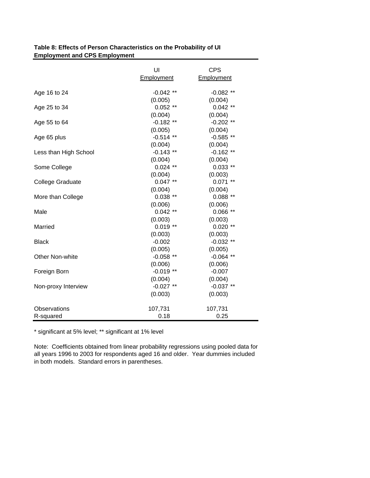|                         | UI          | <b>CPS</b>  |
|-------------------------|-------------|-------------|
|                         | Employment  | Employment  |
| Age 16 to 24            | $-0.042$ ** | $-0.082$ ** |
|                         | (0.005)     | (0.004)     |
| Age 25 to 34            | $0.052$ **  | $0.042$ **  |
|                         | (0.004)     | (0.004)     |
| Age 55 to 64            | $-0.182**$  | $-0.202$ ** |
|                         | (0.005)     | (0.004)     |
| Age 65 plus             | $-0.514$ ** | $-0.585**$  |
|                         | (0.004)     | (0.004)     |
| Less than High School   | $-0.143$ ** | $-0.162$ ** |
|                         | (0.004)     | (0.004)     |
| Some College            | $0.024$ **  | $0.033$ **  |
|                         | (0.004)     | (0.003)     |
| <b>College Graduate</b> | $0.047**$   | $0.071$ **  |
|                         | (0.004)     | (0.004)     |
| More than College       | $0.038**$   | $0.088**$   |
|                         | (0.006)     | (0.006)     |
| Male                    | $0.042$ **  | $0.066$ **  |
|                         | (0.003)     | (0.003)     |
| Married                 | $0.019**$   | $0.020$ **  |
|                         | (0.003)     | (0.003)     |
| <b>Black</b>            | $-0.002$    | $-0.032$ ** |
|                         | (0.005)     | (0.005)     |
| Other Non-white         | $-0.058$ ** | $-0.064$ ** |
|                         | (0.006)     | (0.006)     |
| Foreign Born            | $-0.019**$  | $-0.007$    |
|                         | (0.004)     | (0.004)     |
| Non-proxy Interview     | $-0.027$ ** | $-0.037**$  |
|                         | (0.003)     | (0.003)     |
| Observations            | 107,731     | 107,731     |
| R-squared               | 0.18        | 0.25        |

# **Table 8: Effects of Person Characteristics on the Probability of UI Employment and CPS Employment**

\* significant at 5% level; \*\* significant at 1% level

Note: Coefficients obtained from linear probability regressions using pooled data for all years 1996 to 2003 for respondents aged 16 and older. Year dummies included in both models. Standard errors in parentheses.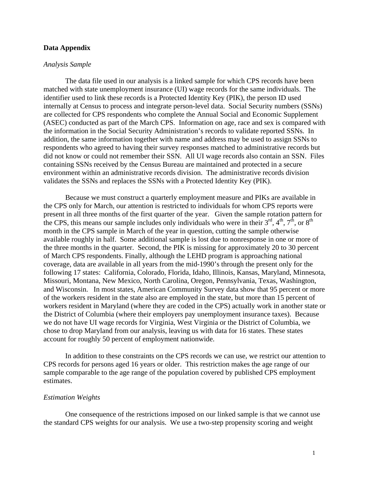# **Data Appendix**

#### *Analysis Sample*

The data file used in our analysis is a linked sample for which CPS records have been matched with state unemployment insurance (UI) wage records for the same individuals. The identifier used to link these records is a Protected Identity Key (PIK), the person ID used internally at Census to process and integrate person-level data. Social Security numbers (SSNs) are collected for CPS respondents who complete the Annual Social and Economic Supplement (ASEC) conducted as part of the March CPS. Information on age, race and sex is compared with the information in the Social Security Administration's records to validate reported SSNs. In addition, the same information together with name and address may be used to assign SSNs to respondents who agreed to having their survey responses matched to administrative records but did not know or could not remember their SSN. All UI wage records also contain an SSN. Files containing SSNs received by the Census Bureau are maintained and protected in a secure environment within an administrative records division. The administrative records division validates the SSNs and replaces the SSNs with a Protected Identity Key (PIK).

Because we must construct a quarterly employment measure and PIKs are available in the CPS only for March, our attention is restricted to individuals for whom CPS reports were present in all three months of the first quarter of the year. Given the sample rotation pattern for the CPS, this means our sample includes only individuals who were in their  $3<sup>rd</sup>$ ,  $4<sup>th</sup>$ ,  $7<sup>th</sup>$ , or  $8<sup>th</sup>$ month in the CPS sample in March of the year in question, cutting the sample otherwise available roughly in half. Some additional sample is lost due to nonresponse in one or more of the three months in the quarter. Second, the PIK is missing for approximately 20 to 30 percent of March CPS respondents. Finally, although the LEHD program is approaching national coverage, data are available in all years from the mid-1990's through the present only for the following 17 states: California, Colorado, Florida, Idaho, Illinois, Kansas, Maryland, Minnesota, Missouri, Montana, New Mexico, North Carolina, Oregon, Pennsylvania, Texas, Washington, and Wisconsin. In most states, American Community Survey data show that 95 percent or more of the workers resident in the state also are employed in the state, but more than 15 percent of workers resident in Maryland (where they are coded in the CPS) actually work in another state or the District of Columbia (where their employers pay unemployment insurance taxes). Because we do not have UI wage records for Virginia, West Virginia or the District of Columbia, we chose to drop Maryland from our analysis, leaving us with data for 16 states. These states account for roughly 50 percent of employment nationwide.

In addition to these constraints on the CPS records we can use, we restrict our attention to CPS records for persons aged 16 years or older. This restriction makes the age range of our sample comparable to the age range of the population covered by published CPS employment estimates.

#### *Estimation Weights*

 One consequence of the restrictions imposed on our linked sample is that we cannot use the standard CPS weights for our analysis. We use a two-step propensity scoring and weight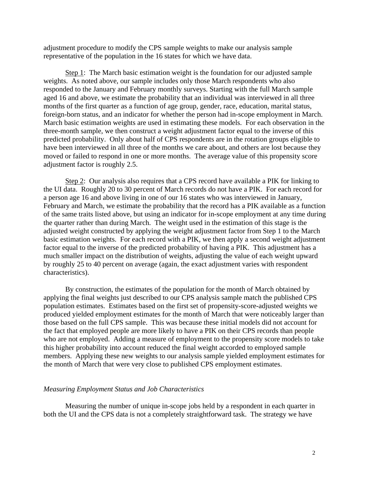adjustment procedure to modify the CPS sample weights to make our analysis sample representative of the population in the 16 states for which we have data.

Step 1: The March basic estimation weight is the foundation for our adjusted sample weights. As noted above, our sample includes only those March respondents who also responded to the January and February monthly surveys. Starting with the full March sample aged 16 and above, we estimate the probability that an individual was interviewed in all three months of the first quarter as a function of age group, gender, race, education, marital status, foreign-born status, and an indicator for whether the person had in-scope employment in March. March basic estimation weights are used in estimating these models. For each observation in the three-month sample, we then construct a weight adjustment factor equal to the inverse of this predicted probability. Only about half of CPS respondents are in the rotation groups eligible to have been interviewed in all three of the months we care about, and others are lost because they moved or failed to respond in one or more months. The average value of this propensity score adjustment factor is roughly 2.5.

 Step 2: Our analysis also requires that a CPS record have available a PIK for linking to the UI data. Roughly 20 to 30 percent of March records do not have a PIK. For each record for a person age 16 and above living in one of our 16 states who was interviewed in January, February and March, we estimate the probability that the record has a PIK available as a function of the same traits listed above, but using an indicator for in-scope employment at any time during the quarter rather than during March. The weight used in the estimation of this stage is the adjusted weight constructed by applying the weight adjustment factor from Step 1 to the March basic estimation weights. For each record with a PIK, we then apply a second weight adjustment factor equal to the inverse of the predicted probability of having a PIK. This adjustment has a much smaller impact on the distribution of weights, adjusting the value of each weight upward by roughly 25 to 40 percent on average (again, the exact adjustment varies with respondent characteristics).

 By construction, the estimates of the population for the month of March obtained by applying the final weights just described to our CPS analysis sample match the published CPS population estimates. Estimates based on the first set of propensity-score-adjusted weights we produced yielded employment estimates for the month of March that were noticeably larger than those based on the full CPS sample. This was because these initial models did not account for the fact that employed people are more likely to have a PIK on their CPS records than people who are not employed. Adding a measure of employment to the propensity score models to take this higher probability into account reduced the final weight accorded to employed sample members. Applying these new weights to our analysis sample yielded employment estimates for the month of March that were very close to published CPS employment estimates.

## *Measuring Employment Status and Job Characteristics*

 Measuring the number of unique in-scope jobs held by a respondent in each quarter in both the UI and the CPS data is not a completely straightforward task. The strategy we have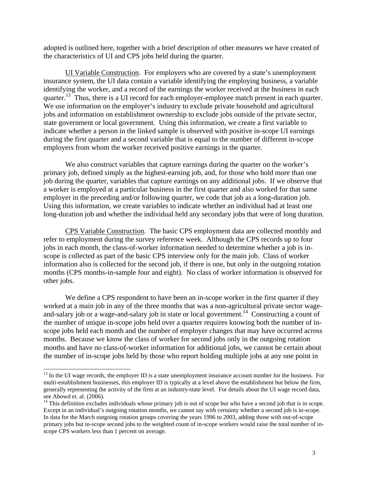adopted is outlined here, together with a brief description of other measures we have created of the characteristics of UI and CPS jobs held during the quarter.

 UI Variable Construction. For employers who are covered by a state's unemployment insurance system, the UI data contain a variable identifying the employing business, a variable identifying the worker, and a record of the earnings the worker received at the business in each quarter.<sup>13</sup> Thus, there is a UI record for each employer-employee match present in each quarter. We use information on the employer's industry to exclude private household and agricultural jobs and information on establishment ownership to exclude jobs outside of the private sector, state government or local government. Using this information, we create a first variable to indicate whether a person in the linked sample is observed with positive in-scope UI earnings during the first quarter and a second variable that is equal to the number of different in-scope employers from whom the worker received positive earnings in the quarter.

We also construct variables that capture earnings during the quarter on the worker's primary job, defined simply as the highest-earning job, and, for those who hold more than one job during the quarter, variables that capture earnings on any additional jobs. If we observe that a worker is employed at a particular business in the first quarter and also worked for that same employer in the preceding and/or following quarter, we code that job as a long-duration job. Using this information, we create variables to indicate whether an individual had at least one long-duration job and whether the individual held any secondary jobs that were of long duration.

CPS Variable Construction. The basic CPS employment data are collected monthly and refer to employment during the survey reference week. Although the CPS records up to four jobs in each month, the class-of-worker information needed to determine whether a job is inscope is collected as part of the basic CPS interview only for the main job. Class of worker information also is collected for the second job, if there is one, but only in the outgoing rotation months (CPS months-in-sample four and eight). No class of worker information is observed for other jobs.

We define a CPS respondent to have been an in-scope worker in the first quarter if they worked at a main job in any of the three months that was a non-agricultural private sector wageand-salary job or a wage-and-salary job in state or local government.<sup>14</sup> Constructing a count of the number of unique in-scope jobs held over a quarter requires knowing both the number of inscope jobs held each month and the number of employer changes that may have occurred across months. Because we know the class of worker for second jobs only in the outgoing rotation months and have no class-of-worker information for additional jobs, we cannot be certain about the number of in-scope jobs held by those who report holding multiple jobs at any one point in

l

 $<sup>13</sup>$  In the UI wage records, the employer ID is a state unemployment insurance account number for the business. For</sup> multi-establishment businesses, this employer ID is typically at a level above the establishment but below the firm, generally representing the activity of the firm at an industry-state level. For details about the UI wage record data, see Abowd et. al. (2006).

<sup>&</sup>lt;sup>14</sup> This definition excludes individuals whose primary job is out of scope but who have a second job that is in scope. Except in an individual's outgoing rotation months, we cannot say with certainty whether a second job is in-scope. In data for the March outgoing rotation groups covering the years 1996 to 2003, adding those with out-of-scope primary jobs but in-scope second jobs to the weighted count of in-scope workers would raise the total number of inscope CPS workers less than 1 percent on average.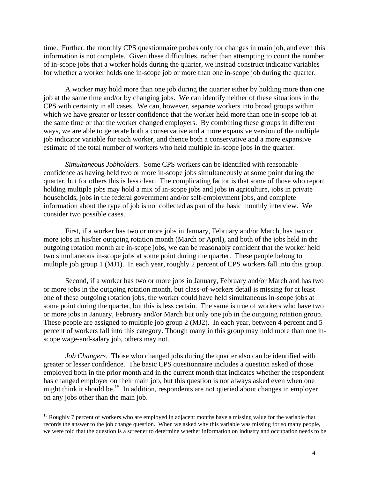time. Further, the monthly CPS questionnaire probes only for changes in main job, and even this information is not complete. Given these difficulties, rather than attempting to count the number of in-scope jobs that a worker holds during the quarter, we instead construct indicator variables for whether a worker holds one in-scope job or more than one in-scope job during the quarter.

A worker may hold more than one job during the quarter either by holding more than one job at the same time and/or by changing jobs. We can identify neither of these situations in the CPS with certainty in all cases. We can, however, separate workers into broad groups within which we have greater or lesser confidence that the worker held more than one in-scope job at the same time or that the worker changed employers. By combining these groups in different ways, we are able to generate both a conservative and a more expansive version of the multiple job indicator variable for each worker, and thence both a conservative and a more expansive estimate of the total number of workers who held multiple in-scope jobs in the quarter.

*Simultaneous Jobholders.* Some CPS workers can be identified with reasonable confidence as having held two or more in-scope jobs simultaneously at some point during the quarter, but for others this is less clear. The complicating factor is that some of those who report holding multiple jobs may hold a mix of in-scope jobs and jobs in agriculture, jobs in private households, jobs in the federal government and/or self-employment jobs, and complete information about the type of job is not collected as part of the basic monthly interview. We consider two possible cases.

First, if a worker has two or more jobs in January, February and/or March, has two or more jobs in his/her outgoing rotation month (March or April), and both of the jobs held in the outgoing rotation month are in-scope jobs, we can be reasonably confident that the worker held two simultaneous in-scope jobs at some point during the quarter. These people belong to multiple job group 1 (MJ1). In each year, roughly 2 percent of CPS workers fall into this group.

Second, if a worker has two or more jobs in January, February and/or March and has two or more jobs in the outgoing rotation month, but class-of-workers detail is missing for at least one of these outgoing rotation jobs, the worker could have held simultaneous in-scope jobs at some point during the quarter, but this is less certain. The same is true of workers who have two or more jobs in January, February and/or March but only one job in the outgoing rotation group. These people are assigned to multiple job group 2 (MJ2). In each year, between 4 percent and 5 percent of workers fall into this category. Though many in this group may hold more than one inscope wage-and-salary job, others may not.

*Job Changers.* Those who changed jobs during the quarter also can be identified with greater or lesser confidence. The basic CPS questionnaire includes a question asked of those employed both in the prior month and in the current month that indicates whether the respondent has changed employer on their main job, but this question is not always asked even when one might think it should be.<sup>15</sup> In addition, respondents are not queried about changes in employer on any jobs other than the main job.

l

<sup>&</sup>lt;sup>15</sup> Roughly 7 percent of workers who are employed in adjacent months have a missing value for the variable that records the answer to the job change question. When we asked why this variable was missing for so many people, we were told that the question is a screener to determine whether information on industry and occupation needs to be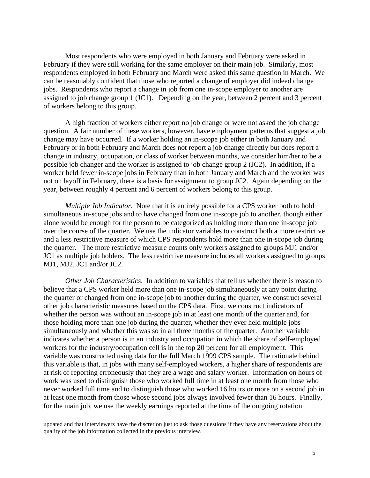Most respondents who were employed in both January and February were asked in February if they were still working for the same employer on their main job. Similarly, most respondents employed in both February and March were asked this same question in March. We can be reasonably confident that those who reported a change of employer did indeed change jobs. Respondents who report a change in job from one in-scope employer to another are assigned to job change group 1 (JC1). Depending on the year, between 2 percent and 3 percent of workers belong to this group.

A high fraction of workers either report no job change or were not asked the job change question. A fair number of these workers, however, have employment patterns that suggest a job change may have occurred. If a worker holding an in-scope job either in both January and February or in both February and March does not report a job change directly but does report a change in industry, occupation, or class of worker between months, we consider him/her to be a possible job changer and the worker is assigned to job change group 2 (JC2). In addition, if a worker held fewer in-scope jobs in February than in both January and March and the worker was not on layoff in February, there is a basis for assignment to group JC2. Again depending on the year, between roughly 4 percent and 6 percent of workers belong to this group.

*Multiple Job Indicator.* Note that it is entirely possible for a CPS worker both to hold simultaneous in-scope jobs and to have changed from one in-scope job to another, though either alone would be enough for the person to be categorized as holding more than one in-scope job over the course of the quarter. We use the indicator variables to construct both a more restrictive and a less restrictive measure of which CPS respondents hold more than one in-scope job during the quarter. The more restrictive measure counts only workers assigned to groups MJ1 and/or JC1 as multiple job holders. The less restrictive measure includes all workers assigned to groups MJ1, MJ2, JC1 and/or JC2.

*Other Job Characteristics*. In addition to variables that tell us whether there is reason to believe that a CPS worker held more than one in-scope job simultaneously at any point during the quarter or changed from one in-scope job to another during the quarter, we construct several other job characteristic measures based on the CPS data. First, we construct indicators of whether the person was without an in-scope job in at least one month of the quarter and, for those holding more than one job during the quarter, whether they ever held multiple jobs simultaneously and whether this was so in all three months of the quarter. Another variable indicates whether a person is in an industry and occupation in which the share of self-employed workers for the industry/occupation cell is in the top 20 percent for all employment. This variable was constructed using data for the full March 1999 CPS sample. The rationale behind this variable is that, in jobs with many self-employed workers, a higher share of respondents are at risk of reporting erroneously that they are a wage and salary worker. Information on hours of work was used to distinguish those who worked full time in at least one month from those who never worked full time and to distinguish those who worked 16 hours or more on a second job in at least one month from those whose second jobs always involved fewer than 16 hours. Finally, for the main job, we use the weekly earnings reported at the time of the outgoing rotation

 $\overline{a}$ 

updated and that interviewers have the discretion just to ask those questions if they have any reservations about the quality of the job information collected in the previous interview.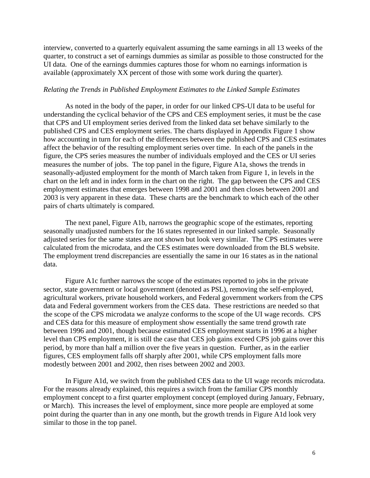interview, converted to a quarterly equivalent assuming the same earnings in all 13 weeks of the quarter, to construct a set of earnings dummies as similar as possible to those constructed for the UI data. One of the earnings dummies captures those for whom no earnings information is available (approximately XX percent of those with some work during the quarter).

#### *Relating the Trends in Published Employment Estimates to the Linked Sample Estimates*

As noted in the body of the paper, in order for our linked CPS-UI data to be useful for understanding the cyclical behavior of the CPS and CES employment series, it must be the case that CPS and UI employment series derived from the linked data set behave similarly to the published CPS and CES employment series. The charts displayed in Appendix Figure 1 show how accounting in turn for each of the differences between the published CPS and CES estimates affect the behavior of the resulting employment series over time. In each of the panels in the figure, the CPS series measures the number of individuals employed and the CES or UI series measures the number of jobs. The top panel in the figure, Figure A1a, shows the trends in seasonally-adjusted employment for the month of March taken from Figure 1, in levels in the chart on the left and in index form in the chart on the right. The gap between the CPS and CES employment estimates that emerges between 1998 and 2001 and then closes between 2001 and 2003 is very apparent in these data. These charts are the benchmark to which each of the other pairs of charts ultimately is compared.

 The next panel, Figure A1b, narrows the geographic scope of the estimates, reporting seasonally unadjusted numbers for the 16 states represented in our linked sample. Seasonally adjusted series for the same states are not shown but look very similar. The CPS estimates were calculated from the microdata, and the CES estimates were downloaded from the BLS website. The employment trend discrepancies are essentially the same in our 16 states as in the national data.

 Figure A1c further narrows the scope of the estimates reported to jobs in the private sector, state government or local government (denoted as PSL), removing the self-employed, agricultural workers, private household workers, and Federal government workers from the CPS data and Federal government workers from the CES data. These restrictions are needed so that the scope of the CPS microdata we analyze conforms to the scope of the UI wage records. CPS and CES data for this measure of employment show essentially the same trend growth rate between 1996 and 2001, though because estimated CES employment starts in 1996 at a higher level than CPS employment, it is still the case that CES job gains exceed CPS job gains over this period, by more than half a million over the five years in question. Further, as in the earlier figures, CES employment falls off sharply after 2001, while CPS employment falls more modestly between 2001 and 2002, then rises between 2002 and 2003.

 In Figure A1d, we switch from the published CES data to the UI wage records microdata. For the reasons already explained, this requires a switch from the familiar CPS monthly employment concept to a first quarter employment concept (employed during January, February, or March). This increases the level of employment, since more people are employed at some point during the quarter than in any one month, but the growth trends in Figure A1d look very similar to those in the top panel.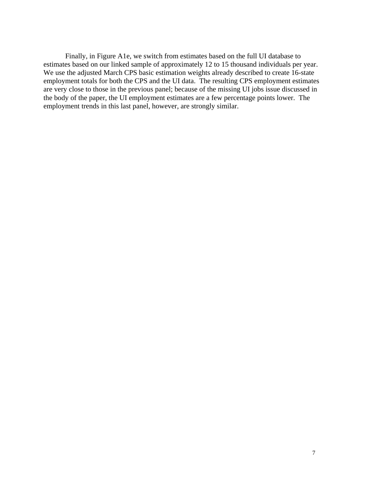Finally, in Figure A1e, we switch from estimates based on the full UI database to estimates based on our linked sample of approximately 12 to 15 thousand individuals per year. We use the adjusted March CPS basic estimation weights already described to create 16-state employment totals for both the CPS and the UI data. The resulting CPS employment estimates are very close to those in the previous panel; because of the missing UI jobs issue discussed in the body of the paper, the UI employment estimates are a few percentage points lower. The employment trends in this last panel, however, are strongly similar.